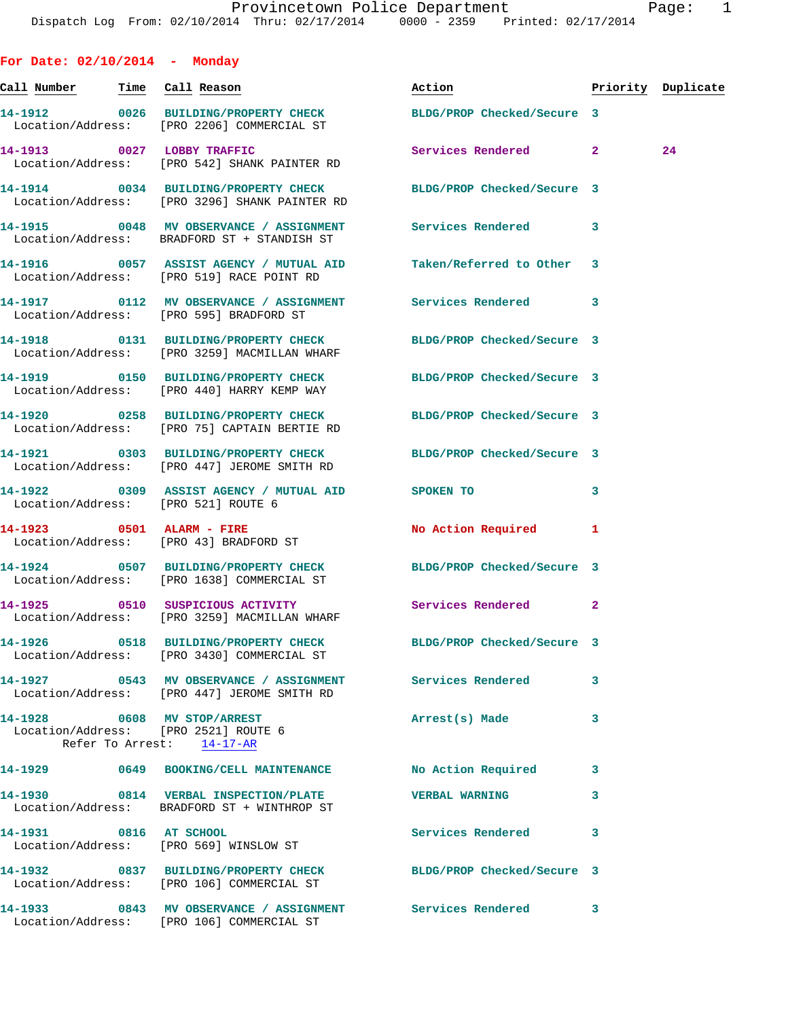| For Date: $02/10/2014$ - Monday |                                                                                                                  |                                  |              |    |
|---------------------------------|------------------------------------------------------------------------------------------------------------------|----------------------------------|--------------|----|
|                                 |                                                                                                                  | Action <b>Priority Duplicate</b> |              |    |
|                                 | 14-1912 0026 BUILDING/PROPERTY CHECK BLDG/PROP Checked/Secure 3<br>Location/Address: [PRO 2206] COMMERCIAL ST    |                                  |              |    |
|                                 | 14-1913 0027 LOBBY TRAFFIC<br>Location/Address: [PRO 542] SHANK PAINTER RD                                       | Services Rendered 2              |              | 24 |
|                                 | 14-1914 0034 BUILDING/PROPERTY CHECK BLDG/PROP Checked/Secure 3<br>Location/Address: [PRO 3296] SHANK PAINTER RD |                                  |              |    |
|                                 | 14-1915 0048 MV OBSERVANCE / ASSIGNMENT Services Rendered 3<br>Location/Address: BRADFORD ST + STANDISH ST       |                                  |              |    |
|                                 | Location/Address: [PRO 519] RACE POINT RD                                                                        |                                  |              |    |
|                                 | 14-1917 <b>12 MV OBSERVANCE / ASSIGNMENT</b> Services Rendered 3<br>Location/Address: [PRO 595] BRADFORD ST      |                                  |              |    |
|                                 | 14-1918 0131 BUILDING/PROPERTY CHECK BLDG/PROP Checked/Secure 3<br>Location/Address: [PRO 3259] MACMILLAN WHARF  |                                  |              |    |
|                                 | 14-1919 0150 BUILDING/PROPERTY CHECK BLDG/PROP Checked/Secure 3<br>Location/Address: [PRO 440] HARRY KEMP WAY    |                                  |              |    |
|                                 | 14-1920 0258 BUILDING/PROPERTY CHECK BLDG/PROP Checked/Secure 3<br>Location/Address: [PRO 75] CAPTAIN BERTIE RD  |                                  |              |    |
|                                 | 14-1921 0303 BUILDING/PROPERTY CHECK BLDG/PROP Checked/Secure 3<br>Location/Address: [PRO 447] JEROME SMITH RD   |                                  |              |    |
|                                 | 14-1922 0309 ASSIST AGENCY / MUTUAL AID SPOKEN TO<br>Location/Address: [PRO 521] ROUTE 6                         |                                  | $\mathbf{3}$ |    |
|                                 | 14-1923 0501 ALARM - FIRE<br>Location/Address: [PRO 43] BRADFORD ST                                              | No Action Required 1             |              |    |
|                                 | 14-1924 0507 BUILDING/PROPERTY CHECK BLDG/PROP Checked/Secure 3<br>Location/Address: [PRO 1638] COMMERCIAL ST    |                                  |              |    |
|                                 | 14-1925 0510 SUSPICIOUS ACTIVITY Services Rendered 2<br>Location/Address: [PRO 3259] MACMILLAN WHARF             |                                  |              |    |
|                                 | 14-1926 0518 BUILDING/PROPERTY CHECK BLDG/PROP Checked/Secure 3<br>Location/Address: [PRO 3430] COMMERCIAL ST    |                                  |              |    |
|                                 | 14-1927 6543 MV OBSERVANCE / ASSIGNMENT Services Rendered<br>Location/Address: [PRO 447] JEROME SMITH RD         |                                  | 3            |    |
|                                 | 14-1928 0608 MV STOP/ARREST<br>Location/Address: [PRO 2521] ROUTE 6<br>Refer To Arrest: 14-17-AR                 | Arrest(s) Made                   | 3            |    |
|                                 | 14-1929 0649 BOOKING/CELL MAINTENANCE No Action Required                                                         |                                  | 3            |    |
|                                 | 14-1930 0814 VERBAL INSPECTION/PLATE VERBAL WARNING<br>Location/Address: BRADFORD ST + WINTHROP ST               |                                  | 3            |    |
| 14-1931 0816 AT SCHOOL          | Location/Address: [PRO 569] WINSLOW ST                                                                           | Services Rendered                | 3            |    |
|                                 | 14-1932 0837 BUILDING/PROPERTY CHECK BLDG/PROP Checked/Secure 3<br>Location/Address: [PRO 106] COMMERCIAL ST     |                                  |              |    |
|                                 | 14-1933 6843 MV OBSERVANCE / ASSIGNMENT Services Rendered<br>Location/Address: [PRO 106] COMMERCIAL ST           |                                  | 3            |    |
|                                 |                                                                                                                  |                                  |              |    |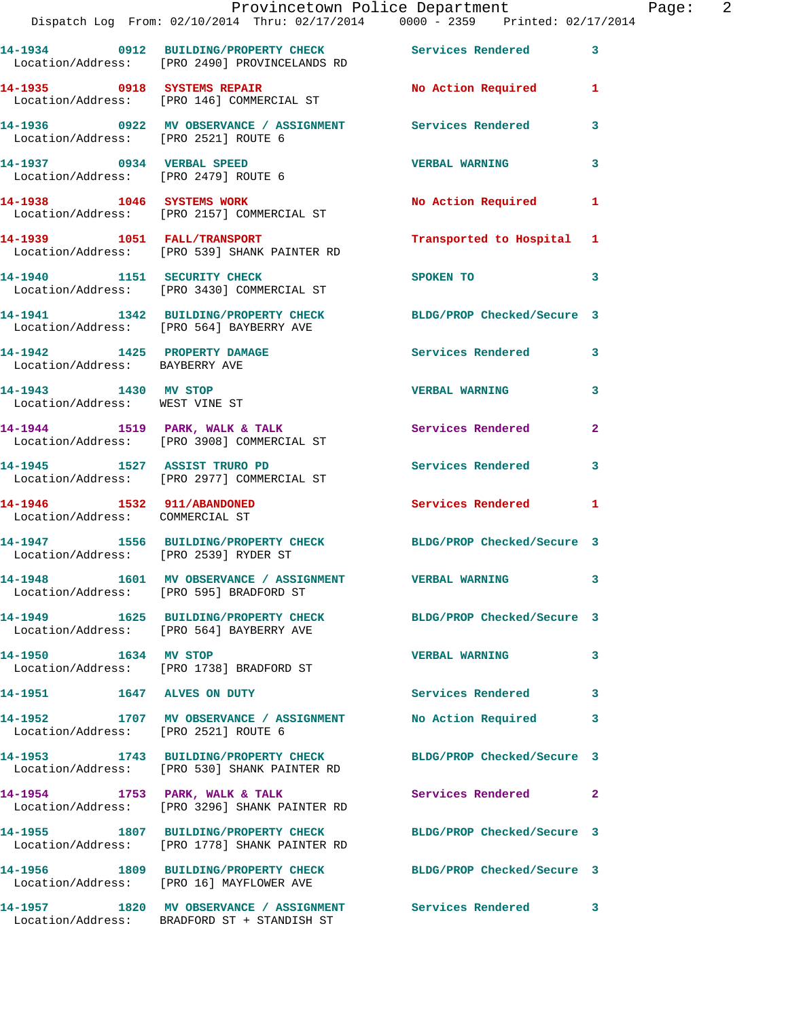|                                                               | Dispatch Log From: 02/10/2014 Thru: 02/17/2014 0000 - 2359 Printed: 02/17/2014                                   | Provincetown Police Department Fage: 2 |                |
|---------------------------------------------------------------|------------------------------------------------------------------------------------------------------------------|----------------------------------------|----------------|
|                                                               | 14-1934 0912 BUILDING/PROPERTY CHECK Services Rendered<br>Location/Address: [PRO 2490] PROVINCELANDS RD          |                                        | $\mathbf{3}$   |
|                                                               | 14-1935 0918 SYSTEMS REPAIR No Action Required 1<br>Location/Address: [PRO 146] COMMERCIAL ST                    |                                        |                |
|                                                               | 14-1936      0922   MV OBSERVANCE / ASSIGNMENT       Services Rendered<br>Location/Address:   [PRO 2521]ROUTE 6  |                                        | $\mathbf{3}$   |
| Location/Address: [PRO 2479] ROUTE 6                          | 14-1937 0934 VERBAL SPEED                                                                                        | <b>VERBAL WARNING</b>                  | 3              |
|                                                               | 14-1938 1046 SYSTEMS WORK<br>Location/Address: [PRO 2157] COMMERCIAL ST                                          | No Action Required 1                   |                |
|                                                               | 14-1939 1051 FALL/TRANSPORT<br>Location/Address: [PRO 539] SHANK PAINTER RD                                      | Transported to Hospital 1              |                |
|                                                               | 14-1940 1151 SECURITY CHECK<br>Location/Address: [PRO 3430] COMMERCIAL ST                                        | SPOKEN TO                              | 3              |
|                                                               | 14-1941 1342 BUILDING/PROPERTY CHECK BLDG/PROP Checked/Secure 3<br>Location/Address: [PRO 564] BAYBERRY AVE      |                                        |                |
| Location/Address: BAYBERRY AVE                                | 14-1942 1425 PROPERTY DAMAGE Services Rendered 3                                                                 |                                        |                |
| 14-1943 1430 MV STOP<br>Location/Address: WEST VINE ST        |                                                                                                                  | <b>VERBAL WARNING</b>                  | 3              |
|                                                               | 14-1944 1519 PARK, WALK & TALK 1998 Services Rendered<br>Location/Address: [PRO 3908] COMMERCIAL ST              |                                        | $\overline{2}$ |
|                                                               | 14-1945 1527 ASSIST TRURO PD<br>Location/Address: [PRO 2977] COMMERCIAL ST                                       | Services Rendered                      | 3              |
| 14-1946 1532 911/ABANDONED<br>Location/Address: COMMERCIAL ST |                                                                                                                  | Services Rendered 1                    |                |
|                                                               | 14-1947 1556 BUILDING/PROPERTY CHECK BLDG/PROP Checked/Secure 3<br>Location/Address: [PRO 2539] RYDER ST         |                                        |                |
|                                                               | 14-1948 1601 MV OBSERVANCE / ASSIGNMENT<br>Location/Address: [PRO 595] BRADFORD ST                               | <b>VERBAL WARNING</b>                  |                |
|                                                               | 14-1949 1625 BUILDING/PROPERTY CHECK BLDG/PROP Checked/Secure 3<br>Location/Address: [PRO 564] BAYBERRY AVE      |                                        |                |
| 14-1950 1634 MV STOP                                          | Location/Address: [PRO 1738] BRADFORD ST                                                                         | <b>VERBAL WARNING</b>                  | 3              |
| 14-1951 1647 ALVES ON DUTY                                    |                                                                                                                  | Services Rendered                      | 3              |
| Location/Address: [PRO 2521] ROUTE 6                          | 14-1952 1707 MV OBSERVANCE / ASSIGNMENT No Action Required                                                       |                                        | 3              |
|                                                               | 14-1953 1743 BUILDING/PROPERTY CHECK BLDG/PROP Checked/Secure 3<br>Location/Address: [PRO 530] SHANK PAINTER RD  |                                        |                |
|                                                               | 14-1954 1753 PARK, WALK & TALK<br>Location/Address: [PRO 3296] SHANK PAINTER RD                                  | Services Rendered                      | $\overline{2}$ |
|                                                               | 14-1955 1807 BUILDING/PROPERTY CHECK BLDG/PROP Checked/Secure 3<br>Location/Address: [PRO 1778] SHANK PAINTER RD |                                        |                |
|                                                               | 14-1956 1809 BUILDING/PROPERTY CHECK BLDG/PROP Checked/Secure 3<br>Location/Address: [PRO 16] MAYFLOWER AVE      |                                        |                |
|                                                               | 14-1957 1820 MV OBSERVANCE / ASSIGNMENT Services Rendered<br>Location/Address: BRADFORD ST + STANDISH ST         |                                        | 3              |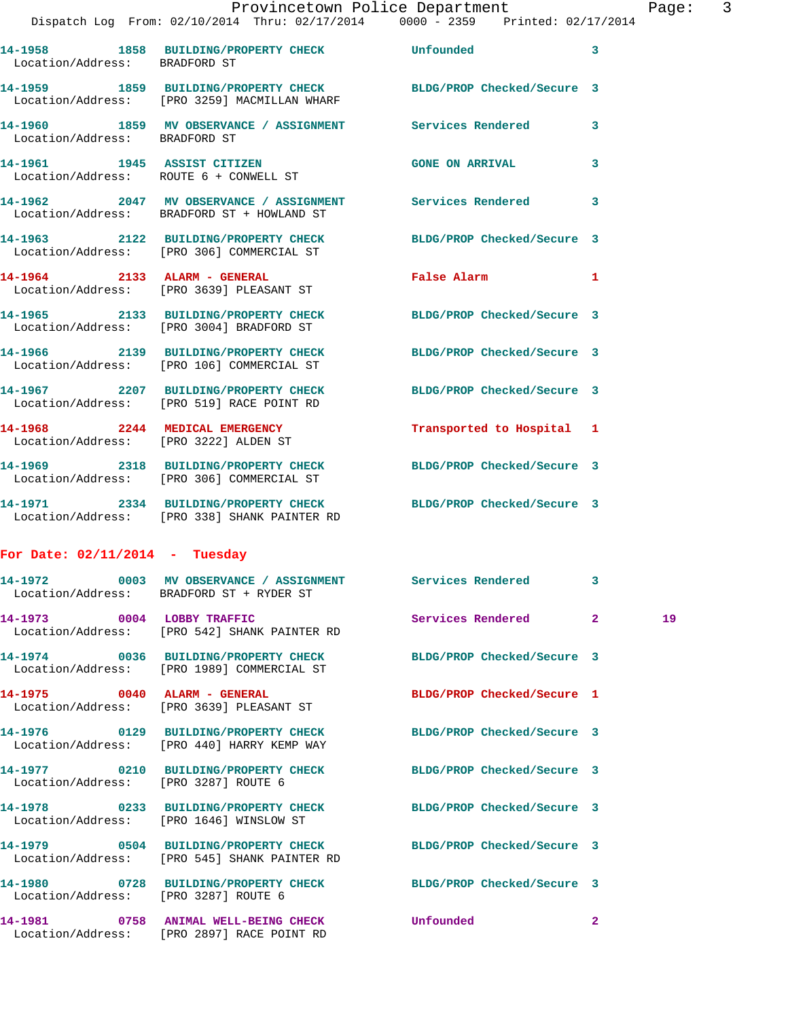| Location/Address: BRADFORD ST          | 14-1958 1858 BUILDING/PROPERTY CHECK                                                                    | Unfounded                  | 3                       |
|----------------------------------------|---------------------------------------------------------------------------------------------------------|----------------------------|-------------------------|
|                                        | 14-1959 1859 BUILDING/PROPERTY CHECK<br>Location/Address: [PRO 3259] MACMILLAN WHARF                    | BLDG/PROP Checked/Secure 3 |                         |
| Location/Address: BRADFORD ST          | 14-1960 1859 MV OBSERVANCE / ASSIGNMENT Services Rendered 3                                             |                            |                         |
| Location/Address: ROUTE 6 + CONWELL ST | 14-1961 1945 ASSIST CITIZEN                                                                             | <b>GONE ON ARRIVAL</b>     | $\overline{\mathbf{3}}$ |
|                                        | 14-1962 2047 MV OBSERVANCE / ASSIGNMENT Services Rendered<br>Location/Address: BRADFORD ST + HOWLAND ST |                            | 3                       |
|                                        | 14-1963 2122 BUILDING/PROPERTY CHECK<br>Location/Address: [PRO 306] COMMERCIAL ST                       | BLDG/PROP Checked/Secure 3 |                         |
| 14-1964 2133 ALARM - GENERAL           | Location/Address: [PRO 3639] PLEASANT ST                                                                | <b>False Alarm</b>         | 1                       |
|                                        | 14-1965 2133 BUILDING/PROPERTY CHECK<br>Location/Address: [PRO 3004] BRADFORD ST                        | BLDG/PROP Checked/Secure 3 |                         |
|                                        | 14-1966 2139 BUILDING/PROPERTY CHECK<br>Location/Address: [PRO 106] COMMERCIAL ST                       | BLDG/PROP Checked/Secure 3 |                         |
|                                        | 14-1967 2207 BUILDING/PROPERTY CHECK<br>Location/Address: [PRO 519] RACE POINT RD                       | BLDG/PROP Checked/Secure 3 |                         |
| 14-1968 2244 MEDICAL EMERGENCY         | Location/Address: [PRO 3222] ALDEN ST                                                                   | Transported to Hospital 1  |                         |
|                                        | 14-1969 2318 BUILDING/PROPERTY CHECK<br>Location/Address: [PRO 306] COMMERCIAL ST                       | BLDG/PROP Checked/Secure 3 |                         |
|                                        | 14-1971 2334 BUILDING/PROPERTY CHECK<br>Location/Address: [PRO 338] SHANK PAINTER RD                    | BLDG/PROP Checked/Secure 3 |                         |
| .                                      |                                                                                                         |                            |                         |

## **For Date: 02/11/2014 - Tuesday**

|                                      | 14-1972 0003 MV OBSERVANCE / ASSIGNMENT Services Rendered 3<br>Location/Address: BRADFORD ST + RYDER ST           |                |    |
|--------------------------------------|-------------------------------------------------------------------------------------------------------------------|----------------|----|
|                                      | 14-1973 0004 LOBBY TRAFFIC Services Rendered 2<br>Location/Address: [PRO 542] SHANK PAINTER RD                    |                | 19 |
|                                      | 14-1974 0036 BUILDING/PROPERTY CHECK BLDG/PROP Checked/Secure 3<br>Location/Address: [PRO 1989] COMMERCIAL ST     |                |    |
|                                      | 14-1975 0040 ALARM - GENERAL BLDG/PROP Checked/Secure 1<br>Location/Address: [PRO 3639] PLEASANT ST               |                |    |
|                                      | 14-1976 0129 BUILDING/PROPERTY CHECK BLDG/PROP Checked/Secure 3<br>Location/Address: [PRO 440] HARRY KEMP WAY     |                |    |
| Location/Address: [PRO 3287] ROUTE 6 | 14-1977 0210 BUILDING/PROPERTY CHECK BLDG/PROP Checked/Secure 3                                                   |                |    |
|                                      | 14-1978 			0233 BUILDING/PROPERTY CHECK 				BLDG/PROP Checked/Secure 3<br>Location/Address: [PRO 1646] WINSLOW ST |                |    |
|                                      | 14-1979 0504 BUILDING/PROPERTY CHECK BLDG/PROP Checked/Secure 3<br>Location/Address: [PRO 545] SHANK PAINTER RD   |                |    |
| Location/Address: [PRO 3287] ROUTE 6 | 14-1980 0728 BUILDING/PROPERTY CHECK BLDG/PROP Checked/Secure 3                                                   |                |    |
|                                      | 14-1981  0758 ANIMAL WELL-BEING CHECK  Unfounded<br>Location/Address: [PRO 2897] RACE POINT RD                    | $\overline{2}$ |    |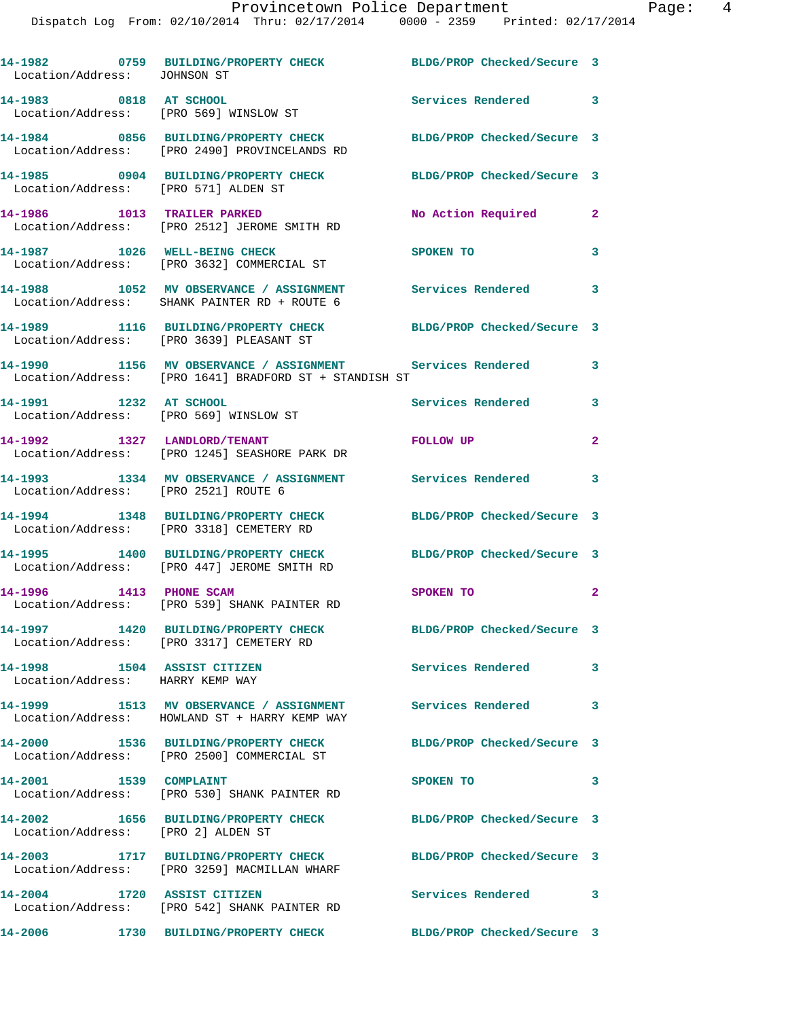| Location/Address: JOHNSON ST                                     | 14-1982 0759 BUILDING/PROPERTY CHECK BLDG/PROP Checked/Secure 3                                                     |                            |                |
|------------------------------------------------------------------|---------------------------------------------------------------------------------------------------------------------|----------------------------|----------------|
| 14-1983 0818 AT SCHOOL<br>Location/Address: [PRO 569] WINSLOW ST |                                                                                                                     | Services Rendered 3        |                |
|                                                                  | 14-1984 0856 BUILDING/PROPERTY CHECK<br>Location/Address: [PRO 2490] PROVINCELANDS RD                               | BLDG/PROP Checked/Secure 3 |                |
| Location/Address: [PRO 571] ALDEN ST                             | 14-1985 0904 BUILDING/PROPERTY CHECK                                                                                | BLDG/PROP Checked/Secure 3 |                |
| 14-1986 1013 TRAILER PARKED                                      | Location/Address: [PRO 2512] JEROME SMITH RD                                                                        | No Action Required         | $\mathbf{2}$   |
|                                                                  | 14-1987 1026 WELL-BEING CHECK<br>Location/Address: [PRO 3632] COMMERCIAL ST                                         | SPOKEN TO                  | 3              |
|                                                                  | 14-1988 1052 MV OBSERVANCE / ASSIGNMENT Services Rendered 3<br>Location/Address: SHANK PAINTER RD + ROUTE 6         |                            |                |
|                                                                  | 14-1989 1116 BUILDING/PROPERTY CHECK<br>Location/Address: [PRO 3639] PLEASANT ST                                    | BLDG/PROP Checked/Secure 3 |                |
|                                                                  | 14-1990 1156 MV OBSERVANCE / ASSIGNMENT Services Rendered<br>Location/Address: [PRO 1641] BRADFORD ST + STANDISH ST |                            | 3              |
| 14-1991 1232 AT SCHOOL                                           | Location/Address: [PRO 569] WINSLOW ST                                                                              | <b>Services Rendered</b>   | 3              |
|                                                                  | 14-1992 1327 LANDLORD/TENANT<br>Location/Address: [PRO 1245] SEASHORE PARK DR                                       | FOLLOW UP                  | $\overline{2}$ |
| Location/Address: [PRO 2521] ROUTE 6                             | 14-1993 1334 MV OBSERVANCE / ASSIGNMENT Services Rendered 3                                                         |                            |                |
|                                                                  | 14-1994 1348 BUILDING/PROPERTY CHECK<br>Location/Address: [PRO 3318] CEMETERY RD                                    | BLDG/PROP Checked/Secure 3 |                |
|                                                                  | 14-1995 1400 BUILDING/PROPERTY CHECK BLDG/PROP Checked/Secure 3<br>Location/Address: [PRO 447] JEROME SMITH RD      |                            |                |
| 14-1996 1413 PHONE SCAM                                          | Location/Address: [PRO 539] SHANK PAINTER RD                                                                        | SPOKEN TO                  | $\overline{2}$ |
|                                                                  | 14-1997 1420 BUILDING/PROPERTY CHECK<br>Location/Address: [PRO 3317] CEMETERY RD                                    | BLDG/PROP Checked/Secure 3 |                |
| 14-1998 1504 ASSIST CITIZEN<br>Location/Address: HARRY KEMP WAY  |                                                                                                                     | Services Rendered 3        |                |
|                                                                  | Location/Address: HOWLAND ST + HARRY KEMP WAY                                                                       |                            | 3              |
|                                                                  | 14-2000 1536 BUILDING/PROPERTY CHECK<br>Location/Address: [PRO 2500] COMMERCIAL ST                                  | BLDG/PROP Checked/Secure 3 |                |
| 14-2001 1539 COMPLAINT                                           | Location/Address: [PRO 530] SHANK PAINTER RD                                                                        | SPOKEN TO                  | 3              |
| Location/Address: [PRO 2] ALDEN ST                               | 14-2002 1656 BUILDING/PROPERTY CHECK                                                                                | BLDG/PROP Checked/Secure 3 |                |
|                                                                  | 14-2003 1717 BUILDING/PROPERTY CHECK<br>Location/Address: [PRO 3259] MACMILLAN WHARF                                | BLDG/PROP Checked/Secure 3 |                |
|                                                                  | 14-2004 1720 ASSIST CITIZEN<br>Location/Address: [PRO 542] SHANK PAINTER RD                                         | Services Rendered 3        |                |
|                                                                  | 14-2006 1730 BUILDING/PROPERTY CHECK                                                                                | BLDG/PROP Checked/Secure 3 |                |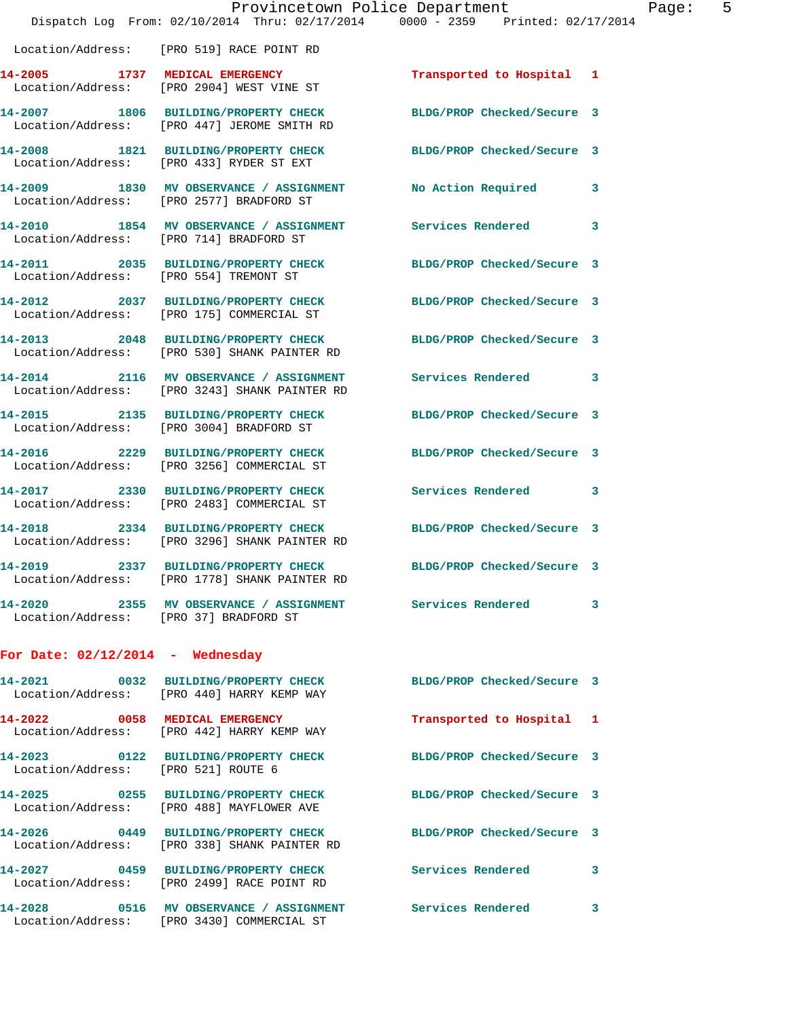|                                        | Provincetown Police Department<br>Dispatch Log From: 02/10/2014 Thru: 02/17/2014 0000 - 2359 Printed: 02/17/2014 |                            |   |
|----------------------------------------|------------------------------------------------------------------------------------------------------------------|----------------------------|---|
|                                        | Location/Address: [PRO 519] RACE POINT RD                                                                        |                            |   |
|                                        | 14-2005 1737 MEDICAL EMERGENCY<br>Location/Address: [PRO 2904] WEST VINE ST                                      | Transported to Hospital    | 1 |
|                                        | 14-2007 1806 BUILDING/PROPERTY CHECK<br>Location/Address: [PRO 447] JEROME SMITH RD                              | BLDG/PROP Checked/Secure 3 |   |
|                                        | 14-2008 1821 BUILDING/PROPERTY CHECK<br>Location/Address: [PRO 433] RYDER ST EXT                                 | BLDG/PROP Checked/Secure 3 |   |
|                                        | 14-2009 1830 MV OBSERVANCE / ASSIGNMENT<br>Location/Address: [PRO 2577] BRADFORD ST                              | No Action Required         | 3 |
|                                        | 14-2010 1854 MV OBSERVANCE / ASSIGNMENT<br>Location/Address: [PRO 714] BRADFORD ST                               | <b>Services Rendered</b>   | 3 |
| Location/Address: [PRO 554] TREMONT ST | 14-2011 2035 BUILDING/PROPERTY CHECK                                                                             | BLDG/PROP Checked/Secure 3 |   |
|                                        | 14-2012 2037 BUILDING/PROPERTY CHECK<br>Location/Address: [PRO 175] COMMERCIAL ST                                | BLDG/PROP Checked/Secure 3 |   |
|                                        | 14-2013 2048 BUILDING/PROPERTY CHECK<br>Location/Address: [PRO 530] SHANK PAINTER RD                             | BLDG/PROP Checked/Secure 3 |   |
|                                        | 14-2014 2116 MV OBSERVANCE / ASSIGNMENT<br>Location/Address: [PRO 3243] SHANK PAINTER RD                         | Services Rendered          | 3 |
|                                        | 14-2015 2135 BUILDING/PROPERTY CHECK<br>Location/Address: [PRO 3004] BRADFORD ST                                 | BLDG/PROP Checked/Secure 3 |   |
|                                        | 14-2016 2229 BUILDING/PROPERTY CHECK<br>Location/Address: [PRO 3256] COMMERCIAL ST                               | BLDG/PROP Checked/Secure 3 |   |
|                                        | 14-2017 2330 BUILDING/PROPERTY CHECK<br>Location/Address: [PRO 2483] COMMERCIAL ST                               | Services Rendered          | 3 |
|                                        | 14-2018 2334 BUILDING/PROPERTY CHECK<br>Location/Address: [PRO 3296] SHANK PAINTER RD                            | BLDG/PROP Checked/Secure 3 |   |
| 14-2019 2337                           | <b>BUILDING/PROPERTY CHECK</b><br>Location/Address: [PRO 1778] SHANK PAINTER RD                                  | BLDG/PROP Checked/Secure 3 |   |
| Location/Address: [PRO 37] BRADFORD ST | 14-2020 2355 MV OBSERVANCE / ASSIGNMENT Services Rendered                                                        |                            | 3 |
| For Date: $02/12/2014$ - Wednesday     |                                                                                                                  |                            |   |
|                                        | 14-2021 0032 BUILDING/PROPERTY CHECK<br>Location/Address: [PRO 440] HARRY KEMP WAY                               | BLDG/PROP Checked/Secure 3 |   |
|                                        | 14-2022 0058 MEDICAL EMERGENCY<br>Location/Address: [PRO 442] HARRY KEMP WAY                                     | Transported to Hospital 1  |   |
| Location/Address: [PRO 521] ROUTE 6    | 14-2023 0122 BUILDING/PROPERTY CHECK                                                                             | BLDG/PROP Checked/Secure 3 |   |
|                                        | 14-2025 0255 BUILDING/PROPERTY CHECK BLDG/PROP Checked/Secure 3<br>Location/Address: [PRO 488] MAYFLOWER AVE     |                            |   |
|                                        | 14-2026 0449 BUILDING/PROPERTY CHECK BLDG/PROP Checked/Secure 3<br>Location/Address: [PRO 338] SHANK PAINTER RD  |                            |   |
|                                        | 14-2027 0459 BUILDING/PROPERTY CHECK Services Rendered<br>Location/Address: [PRO 2499] RACE POINT RD             |                            | 3 |
|                                        | 14-2028 0516 MV OBSERVANCE / ASSIGNMENT Services Rendered<br>Location/Address: [PRO 3430] COMMERCIAL ST          |                            | 3 |

Page:  $5$ <br>14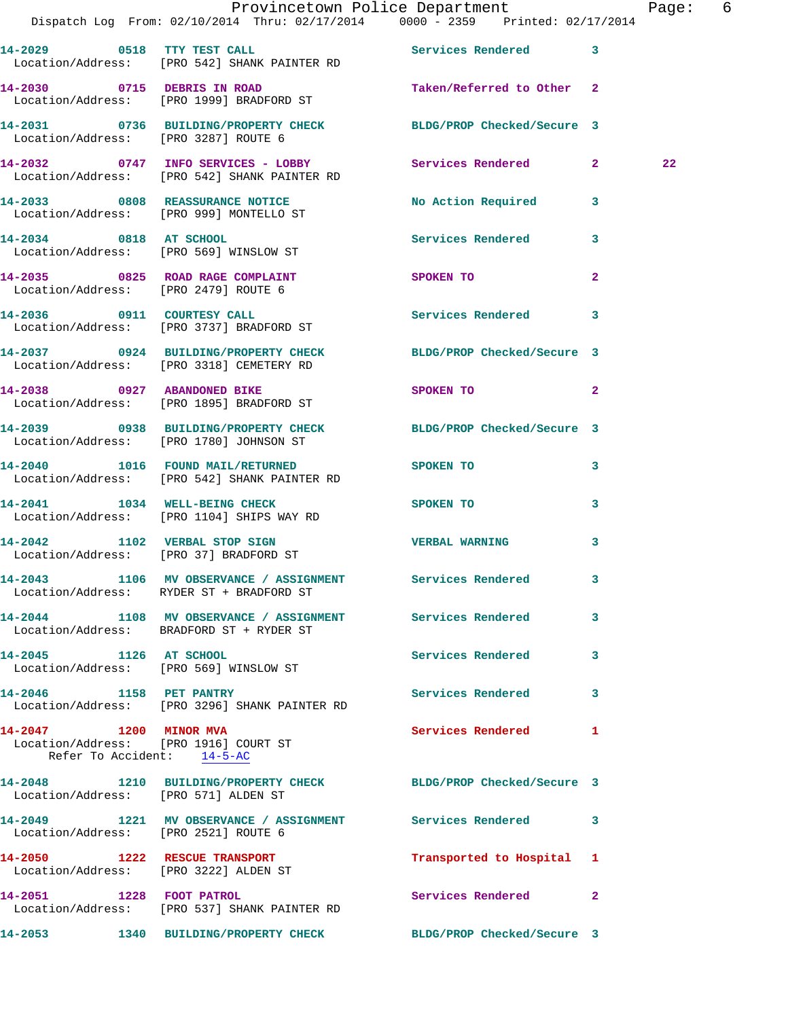|                                                      | Dispatch Log From: 02/10/2014 Thru: 02/17/2014 0000 - 2359 Printed: 02/17/2014                                  | Provincetown Police Department                                                                                              |                | Page: 6 |
|------------------------------------------------------|-----------------------------------------------------------------------------------------------------------------|-----------------------------------------------------------------------------------------------------------------------------|----------------|---------|
|                                                      | 14-2029 0518 TTY TEST CALL Services Rendered 3<br>Location/Address: [PRO 542] SHANK PAINTER RD                  |                                                                                                                             |                |         |
|                                                      | 14-2030 0715 DEBRIS IN ROAD <b>Taken/Referred</b> to Other 2<br>Location/Address: [PRO 1999] BRADFORD ST        |                                                                                                                             |                |         |
|                                                      | 14-2031 0736 BUILDING/PROPERTY CHECK BLDG/PROP Checked/Secure 3<br>Location/Address: [PRO 3287] ROUTE 6         |                                                                                                                             |                |         |
|                                                      | 14-2032 0747 INFO SERVICES - LOBBY Services Rendered 2<br>Location/Address: [PRO 542] SHANK PAINTER RD          |                                                                                                                             |                | 22      |
|                                                      | 14-2033 0808 REASSURANCE NOTICE<br>Location/Address: [PRO 999] MONTELLO ST                                      | No Action Required 3                                                                                                        |                |         |
|                                                      | 14-2034 0818 AT SCHOOL<br>Location/Address: [PRO 569] WINSLOW ST                                                | Services Rendered 3                                                                                                         |                |         |
|                                                      | 14-2035 0825 ROAD RAGE COMPLAINT<br>Location/Address: [PRO 2479] ROUTE 6                                        | SPOKEN TO                                                                                                                   | $\overline{2}$ |         |
|                                                      | 14-2036 0911 COURTESY CALL<br>Location/Address: [PRO 3737] BRADFORD ST                                          | Services Rendered 3                                                                                                         |                |         |
|                                                      | 14-2037 0924 BUILDING/PROPERTY CHECK BLDG/PROP Checked/Secure 3<br>Location/Address: [PRO 3318] CEMETERY RD     |                                                                                                                             |                |         |
|                                                      | 14-2038 0927 ABANDONED BIKE<br>Location/Address: [PRO 1895] BRADFORD ST                                         | SPOKEN TO THE STRIKE STRIKE STRIKE STRIKE STRIKE STRIKE STRIKE STRIKE STRIKE STRIKE STRIKE STRIKE STRIKE STRIKE<br>$\sim$ 2 |                |         |
|                                                      | 14-2039 0938 BUILDING/PROPERTY CHECK BLDG/PROP Checked/Secure 3<br>Location/Address: [PRO 1780] JOHNSON ST      |                                                                                                                             |                |         |
|                                                      | 14-2040 1016 FOUND MAIL/RETURNED SPOKEN TO<br>Location/Address: [PRO 542] SHANK PAINTER RD                      |                                                                                                                             | 3              |         |
|                                                      | 14-2041 1034 WELL-BEING CHECK<br>Location/Address: [PRO 1104] SHIPS WAY RD                                      | <b>SPOKEN TO</b>                                                                                                            | 3              |         |
|                                                      | 14-2042 1102 VERBAL STOP SIGN<br>Location/Address: [PRO 37] BRADFORD ST                                         | VERBAL WARNING 3                                                                                                            |                |         |
|                                                      | 14-2043 1106 MV OBSERVANCE / ASSIGNMENT Services Rendered<br>Location/Address: RYDER ST + BRADFORD ST           |                                                                                                                             |                |         |
|                                                      | 14-2044 1108 MV OBSERVANCE / ASSIGNMENT Services Rendered 3<br>Location/Address: BRADFORD ST + RYDER ST         |                                                                                                                             |                |         |
| 14-2045 1126 AT SCHOOL                               | Location/Address: [PRO 569] WINSLOW ST                                                                          | Services Rendered 3                                                                                                         |                |         |
|                                                      | 14-2046 1158 PET PANTRY<br>Location/Address: [PRO 3296] SHANK PAINTER RD                                        | Services Rendered 3                                                                                                         |                |         |
| 14-2047 1200 MINOR MVA<br>Refer To Accident: 14-5-AC | Location/Address: [PRO 1916] COURT ST                                                                           | Services Rendered 1                                                                                                         |                |         |
|                                                      | 14-2048   1210   BUILDING/PROPERTY CHECK   BLDG/PROP Checked/Secure   3<br>Location/Address: [PRO 571] ALDEN ST |                                                                                                                             |                |         |
| Location/Address: [PRO 2521] ROUTE 6                 | 14-2049 1221 MV OBSERVANCE / ASSIGNMENT Services Rendered 3                                                     |                                                                                                                             |                |         |
|                                                      | 14-2050 1222 RESCUE TRANSPORT<br>Location/Address: [PRO 3222] ALDEN ST                                          | Transported to Hospital 1                                                                                                   |                |         |
|                                                      | 14-2051 1228 FOOT PATROL<br>Location/Address: [PRO 537] SHANK PAINTER RD                                        | Services Rendered 2                                                                                                         |                |         |
|                                                      | 14-2053 1340 BUILDING/PROPERTY CHECK BLDG/PROP Checked/Secure 3                                                 |                                                                                                                             |                |         |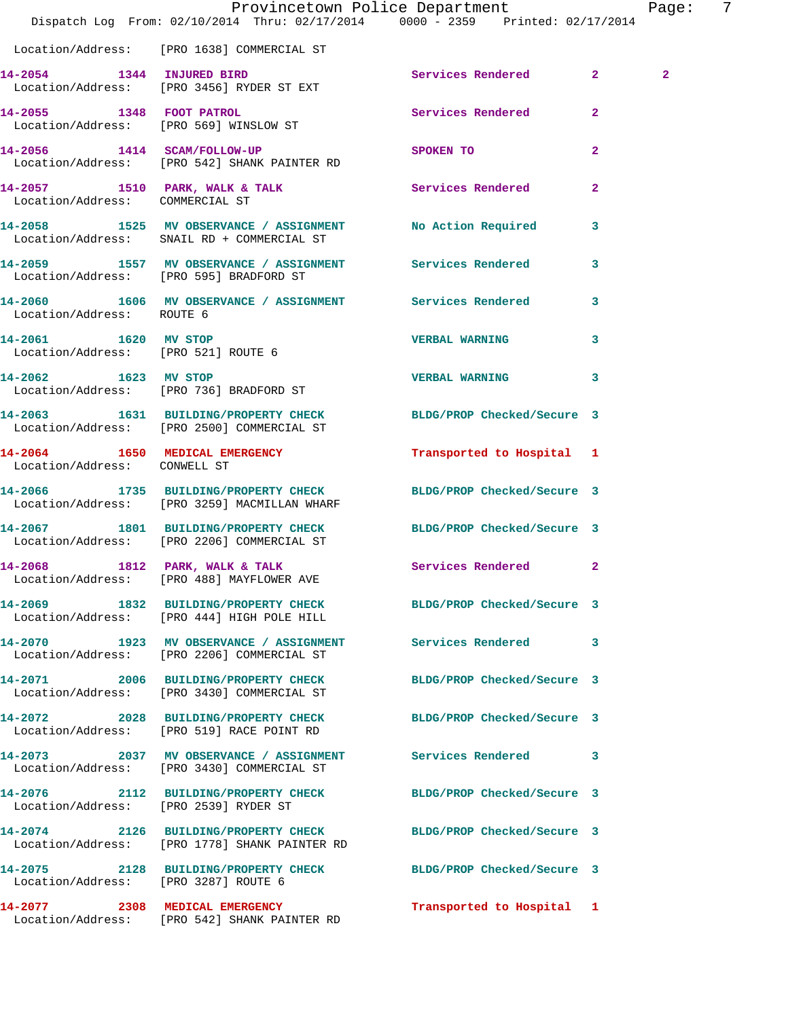|                                       | Dispatch Log From: 02/10/2014 Thru: 02/17/2014 0000 - 2359 Printed: 02/17/2014                                  | Provincetown Police Department |              | Page:          | -7 |
|---------------------------------------|-----------------------------------------------------------------------------------------------------------------|--------------------------------|--------------|----------------|----|
|                                       | Location/Address: [PRO 1638] COMMERCIAL ST                                                                      |                                |              |                |    |
|                                       | 14-2054 1344 INJURED BIRD<br>Location/Address: [PRO 3456] RYDER ST EXT                                          | Services Rendered 2            |              | $\overline{2}$ |    |
|                                       | 14-2055 1348 FOOT PATROL<br>Location/Address: [PRO 569] WINSLOW ST                                              | <b>Services Rendered</b>       | $\mathbf{2}$ |                |    |
|                                       | 14-2056 1414 SCAM/FOLLOW-UP<br>Location/Address: [PRO 542] SHANK PAINTER RD                                     | SPOKEN TO                      | $\mathbf{2}$ |                |    |
| Location/Address: COMMERCIAL ST       | 14-2057 1510 PARK, WALK & TALK 1999 Services Rendered                                                           |                                | $\mathbf{2}$ |                |    |
|                                       | 14-2058 1525 MV OBSERVANCE / ASSIGNMENT No Action Required 3<br>Location/Address: SNAIL RD + COMMERCIAL ST      |                                |              |                |    |
|                                       | 14-2059 1557 MV OBSERVANCE / ASSIGNMENT Services Rendered<br>Location/Address: [PRO 595] BRADFORD ST            |                                | $\mathbf{3}$ |                |    |
| Location/Address: ROUTE 6             | 14-2060 1606 MV OBSERVANCE / ASSIGNMENT Services Rendered                                                       |                                | $\mathbf{3}$ |                |    |
| 14-2061 1620 MV STOP                  | Location/Address: [PRO 521] ROUTE 6                                                                             | <b>VERBAL WARNING</b>          | $\mathbf{3}$ |                |    |
| 14-2062 1623 MV STOP                  | Location/Address: [PRO 736] BRADFORD ST                                                                         | VERBAL WARNING 3               |              |                |    |
|                                       | 14-2063 1631 BUILDING/PROPERTY CHECK BLDG/PROP Checked/Secure 3<br>Location/Address: [PRO 2500] COMMERCIAL ST   |                                |              |                |    |
| Location/Address: CONWELL ST          | 14-2064 1650 MEDICAL EMERGENCY                                                                                  | Transported to Hospital 1      |              |                |    |
|                                       | 14-2066 1735 BUILDING/PROPERTY CHECK BLDG/PROP Checked/Secure 3<br>Location/Address: [PRO 3259] MACMILLAN WHARF |                                |              |                |    |
|                                       | 14-2067 1801 BUILDING/PROPERTY CHECK<br>Location/Address: [PRO 2206] COMMERCIAL ST                              | BLDG/PROP Checked/Secure 3     |              |                |    |
| 14-2068                               | 1812 PARK, WALK & TALK<br>Location/Address: [PRO 488] MAYFLOWER AVE                                             | Services Rendered 2            |              |                |    |
|                                       | 14-2069 1832 BUILDING/PROPERTY CHECK BLDG/PROP Checked/Secure 3<br>Location/Address: [PRO 444] HIGH POLE HILL   |                                |              |                |    |
|                                       | 14-2070 1923 MV OBSERVANCE / ASSIGNMENT Services Rendered 3<br>Location/Address: [PRO 2206] COMMERCIAL ST       |                                |              |                |    |
|                                       | 14-2071 2006 BUILDING/PROPERTY CHECK BLDG/PROP Checked/Secure 3<br>Location/Address: [PRO 3430] COMMERCIAL ST   |                                |              |                |    |
|                                       | 14-2072 2028 BUILDING/PROPERTY CHECK BLDG/PROP Checked/Secure 3<br>Location/Address: [PRO 519] RACE POINT RD    |                                |              |                |    |
|                                       | 14-2073 2037 MV OBSERVANCE / ASSIGNMENT Services Rendered 3<br>Location/Address: [PRO 3430] COMMERCIAL ST       |                                |              |                |    |
| Location/Address: [PRO 2539] RYDER ST | 14-2076 2112 BUILDING/PROPERTY CHECK BLDG/PROP Checked/Secure 3                                                 |                                |              |                |    |
|                                       | 14-2074 2126 BUILDING/PROPERTY CHECK<br>Location/Address: [PRO 1778] SHANK PAINTER RD                           | BLDG/PROP Checked/Secure 3     |              |                |    |
| Location/Address: [PRO 3287] ROUTE 6  | 14-2075 2128 BUILDING/PROPERTY CHECK BLDG/PROP Checked/Secure 3                                                 |                                |              |                |    |
|                                       | 14-2077 2308 MEDICAL EMERGENCY<br>Location/Address: [PRO 542] SHANK PAINTER RD                                  | Transported to Hospital 1      |              |                |    |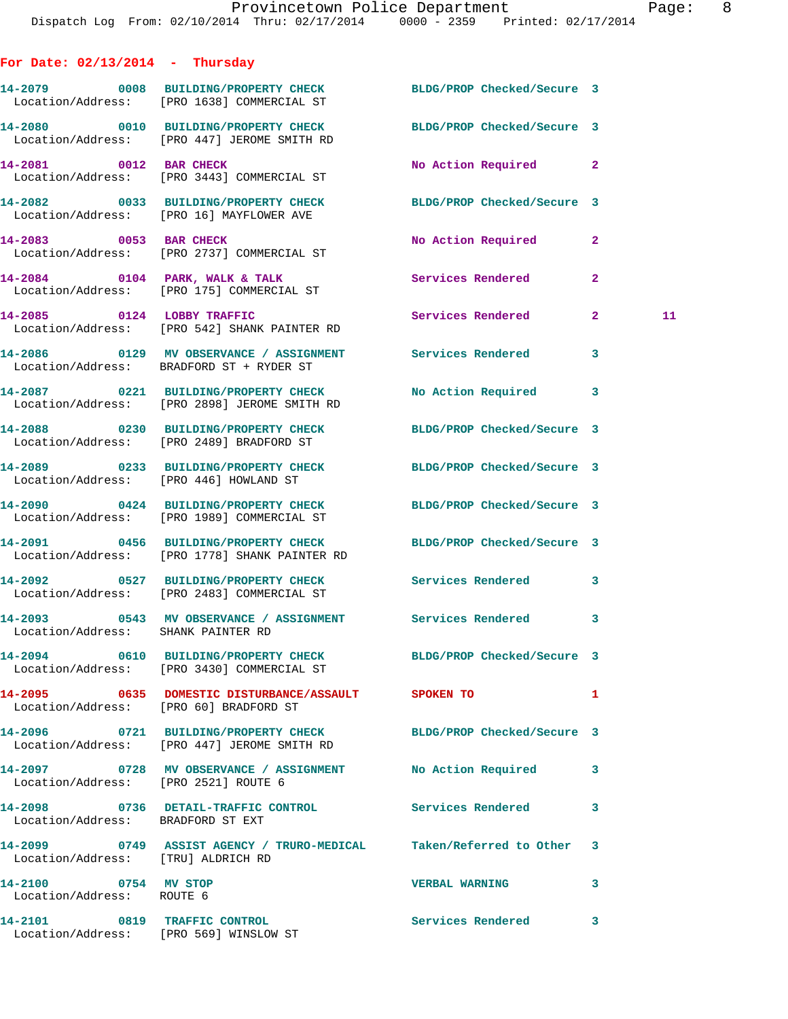**For Date: 02/13/2014 - Thursday 14-2079 0008 BUILDING/PROPERTY CHECK BLDG/PROP Checked/Secure 3**  Location/Address: [PRO 1638] COMMERCIAL ST **14-2080 0010 BUILDING/PROPERTY CHECK BLDG/PROP Checked/Secure 3**  Location/Address: [PRO 447] JEROME SMITH RD **14-2081 0012 BAR CHECK No Action Required 2**  Location/Address: [PRO 3443] COMMERCIAL ST **14-2082 0033 BUILDING/PROPERTY CHECK BLDG/PROP Checked/Secure 3**  Location/Address: [PRO 16] MAYFLOWER AVE **14-2083 0053 BAR CHECK No Action Required 2**  Location/Address: [PRO 2737] COMMERCIAL ST **14-2084 0104 PARK, WALK & TALK Services Rendered 2**  Location/Address: [PRO 175] COMMERCIAL ST **14-2085 0124 LOBBY TRAFFIC Services Rendered 2 11**  Location/Address: [PRO 542] SHANK PAINTER RD **14-2086 0129 MV OBSERVANCE / ASSIGNMENT Services Rendered 3**  Location/Address: BRADFORD ST + RYDER ST **14-2087 0221 BUILDING/PROPERTY CHECK No Action Required 3**  Location/Address: [PRO 2898] JEROME SMITH RD **14-2088 0230 BUILDING/PROPERTY CHECK BLDG/PROP Checked/Secure 3**  Location/Address: [PRO 2489] BRADFORD ST **14-2089 0233 BUILDING/PROPERTY CHECK BLDG/PROP Checked/Secure 3**  Location/Address: [PRO 446] HOWLAND ST **14-2090 0424 BUILDING/PROPERTY CHECK BLDG/PROP Checked/Secure 3**  Location/Address: [PRO 1989] COMMERCIAL ST **14-2091 0456 BUILDING/PROPERTY CHECK BLDG/PROP Checked/Secure 3**  Location/Address: [PRO 1778] SHANK PAINTER RD **14-2092 0527 BUILDING/PROPERTY CHECK Services Rendered 3**  Location/Address: [PRO 2483] COMMERCIAL ST **14-2093 0543 MV OBSERVANCE / ASSIGNMENT Services Rendered 3**  Location/Address: SHANK PAINTER RD **14-2094 0610 BUILDING/PROPERTY CHECK BLDG/PROP Checked/Secure 3**  Location/Address: [PRO 3430] COMMERCIAL ST **14-2095 0635 DOMESTIC DISTURBANCE/ASSAULT SPOKEN TO 1**  Location/Address: [PRO 60] BRADFORD ST **14-2096 0721 BUILDING/PROPERTY CHECK BLDG/PROP Checked/Secure 3**  Location/Address: [PRO 447] JEROME SMITH RD **14-2097 0728 MV OBSERVANCE / ASSIGNMENT No Action Required 3**  Location/Address: [PRO 2521] ROUTE 6 **14-2098 0736 DETAIL-TRAFFIC CONTROL Services Rendered 3**  Location/Address: BRADFORD ST EXT **14-2099 0749 ASSIST AGENCY / TRURO-MEDICAL Taken/Referred to Other 3**  Location/Address: [TRU] ALDRICH RD **14-2100 0754 MV STOP VERBAL WARNING 3**  Location/Address: ROUTE 6

**14-2101 0819 TRAFFIC CONTROL Services Rendered 3**  Location/Address: [PRO 569] WINSLOW ST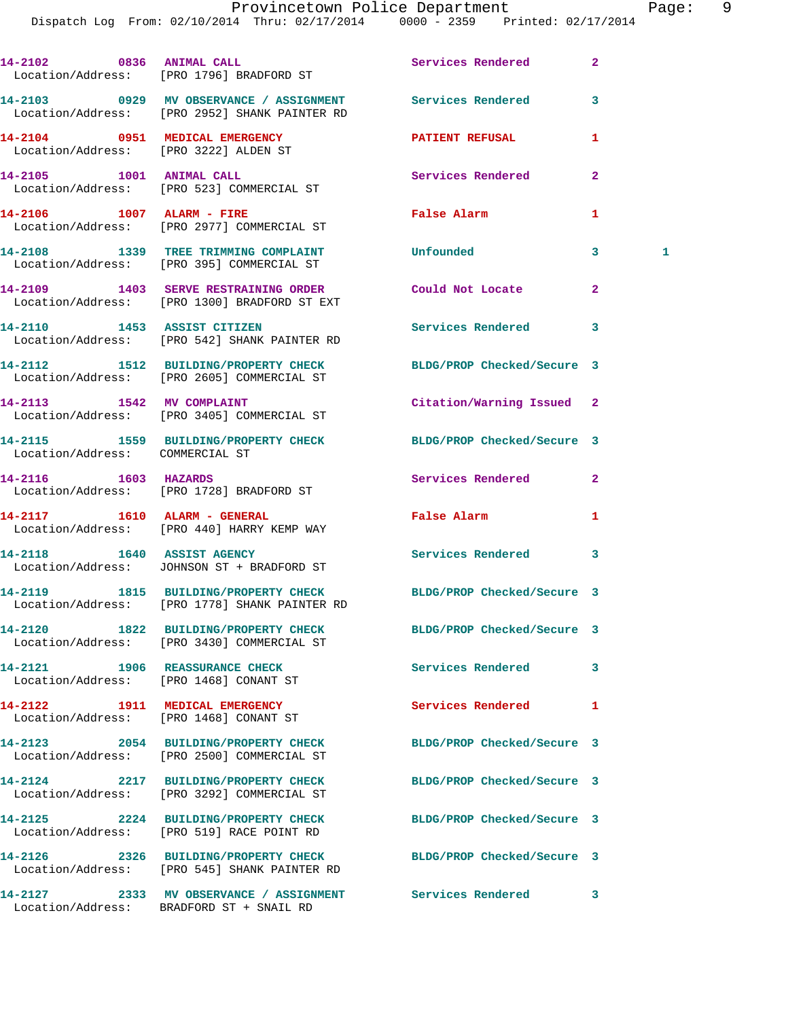|                                                                          | 14-2102 0836 ANIMAL CALL<br>Location/Address: [PRO 1796] BRADFORD ST                                             | Services Rendered          | $\mathbf{2}$ |
|--------------------------------------------------------------------------|------------------------------------------------------------------------------------------------------------------|----------------------------|--------------|
|                                                                          | 14-2103 6929 MV OBSERVANCE / ASSIGNMENT Services Rendered<br>Location/Address: [PRO 2952] SHANK PAINTER RD       |                            | 3            |
| 14-2104 0951 MEDICAL EMERGENCY<br>Location/Address: [PRO 3222] ALDEN ST  |                                                                                                                  | <b>PATIENT REFUSAL</b>     | 1            |
|                                                                          | 14-2105 1001 ANIMAL CALL<br>Location/Address: [PRO 523] COMMERCIAL ST                                            | Services Rendered          | $\mathbf{2}$ |
|                                                                          | 14-2106 1007 ALARM - FIRE<br>Location/Address: [PRO 2977] COMMERCIAL ST                                          | False Alarm                | 1            |
|                                                                          | 14-2108 1339 TREE TRIMMING COMPLAINT<br>Location/Address: [PRO 395] COMMERCIAL ST                                | Unfounded                  | 3<br>1       |
|                                                                          | 14-2109 1403 SERVE RESTRAINING ORDER<br>Location/Address: [PRO 1300] BRADFORD ST EXT                             | Could Not Locate           | $\mathbf{2}$ |
|                                                                          | 14-2110 1453 ASSIST CITIZEN<br>Location/Address: [PRO 542] SHANK PAINTER RD                                      | Services Rendered          | 3            |
|                                                                          | 14-2112 1512 BUILDING/PROPERTY CHECK BLDG/PROP Checked/Secure 3<br>Location/Address: [PRO 2605] COMMERCIAL ST    |                            |              |
|                                                                          | 14-2113 1542 MV COMPLAINT<br>Location/Address: [PRO 3405] COMMERCIAL ST                                          | Citation/Warning Issued    | 2            |
| Location/Address: COMMERCIAL ST                                          | 14-2115 1559 BUILDING/PROPERTY CHECK                                                                             | BLDG/PROP Checked/Secure 3 |              |
| 14-2116 1603 HAZARDS                                                     | Location/Address: [PRO 1728] BRADFORD ST                                                                         | Services Rendered          | $\mathbf{2}$ |
|                                                                          | 14-2117 1610 ALARM - GENERAL<br>Location/Address: [PRO 440] HARRY KEMP WAY                                       | False Alarm                | 1            |
|                                                                          | 14-2118 1640 ASSIST AGENCY<br>Location/Address: JOHNSON ST + BRADFORD ST                                         | <b>Services Rendered</b>   | 3            |
|                                                                          | 14-2119 1815 BUILDING/PROPERTY CHECK BLDG/PROP Checked/Secure 3<br>Location/Address: [PRO 1778] SHANK PAINTER RD |                            |              |
|                                                                          | 14-2120 1822 BUILDING/PROPERTY CHECK<br>Location/Address: [PRO 3430] COMMERCIAL ST                               | BLDG/PROP Checked/Secure 3 |              |
| 14-2121 1906 REASSURANCE CHECK                                           | Location/Address: [PRO 1468] CONANT ST                                                                           | Services Rendered          | 3            |
| 14-2122 1911 MEDICAL EMERGENCY<br>Location/Address: [PRO 1468] CONANT ST |                                                                                                                  | <b>Services Rendered</b>   | 1            |
|                                                                          | 14-2123 2054 BUILDING/PROPERTY CHECK<br>Location/Address: [PRO 2500] COMMERCIAL ST                               | BLDG/PROP Checked/Secure 3 |              |
|                                                                          | 14-2124 2217 BUILDING/PROPERTY CHECK<br>Location/Address: [PRO 3292] COMMERCIAL ST                               | BLDG/PROP Checked/Secure 3 |              |
|                                                                          | 14-2125 2224 BUILDING/PROPERTY CHECK<br>Location/Address: [PRO 519] RACE POINT RD                                | BLDG/PROP Checked/Secure 3 |              |
|                                                                          | 14-2126 2326 BUILDING/PROPERTY CHECK<br>Location/Address: [PRO 545] SHANK PAINTER RD                             | BLDG/PROP Checked/Secure 3 |              |
|                                                                          |                                                                                                                  | Services Rendered 3        |              |

Location/Address: BRADFORD ST + SNAIL RD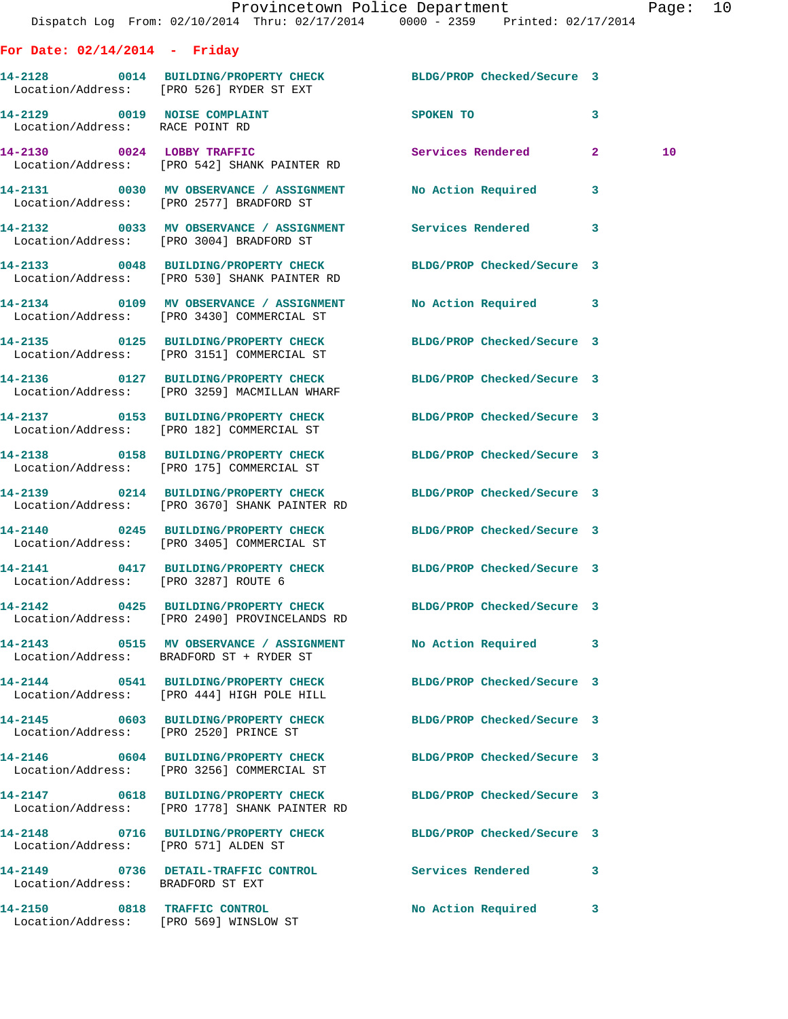|                                      | Dispatch Log From: 02/10/2014 Thru: 02/17/2014 0000 - 2359 Printed: 02/17/2014                                   | Provincetown Police Department |              | Page: 10        |  |
|--------------------------------------|------------------------------------------------------------------------------------------------------------------|--------------------------------|--------------|-----------------|--|
| For Date: $02/14/2014$ - Friday      |                                                                                                                  |                                |              |                 |  |
|                                      | 14-2128 0014 BUILDING/PROPERTY CHECK BLDG/PROP Checked/Secure 3<br>Location/Address: [PRO 526] RYDER ST EXT      |                                |              |                 |  |
| Location/Address: RACE POINT RD      | 14-2129 0019 NOISE COMPLAINT                                                                                     | SPOKEN TO                      | $\mathbf{3}$ |                 |  |
|                                      | 14-2130 0024 LOBBY TRAFFIC<br>Location/Address: [PRO 542] SHANK PAINTER RD                                       | Services Rendered 2            |              | 10 <sup>°</sup> |  |
|                                      | 14-2131 0030 MV OBSERVANCE / ASSIGNMENT No Action Required 3<br>Location/Address: [PRO 2577] BRADFORD ST         |                                |              |                 |  |
|                                      | 14-2132 0033 MV OBSERVANCE / ASSIGNMENT Services Rendered 3<br>Location/Address: [PRO 3004] BRADFORD ST          |                                |              |                 |  |
|                                      | 14-2133 0048 BUILDING/PROPERTY CHECK BLDG/PROP Checked/Secure 3<br>Location/Address: [PRO 530] SHANK PAINTER RD  |                                |              |                 |  |
|                                      | 14-2134 0109 MV OBSERVANCE / ASSIGNMENT No Action Required 3<br>Location/Address: [PRO 3430] COMMERCIAL ST       |                                |              |                 |  |
|                                      | 14-2135 0125 BUILDING/PROPERTY CHECK BLDG/PROP Checked/Secure 3<br>Location/Address: [PRO 3151] COMMERCIAL ST    |                                |              |                 |  |
|                                      | 14-2136 0127 BUILDING/PROPERTY CHECK BLDG/PROP Checked/Secure 3<br>Location/Address: [PRO 3259] MACMILLAN WHARF  |                                |              |                 |  |
|                                      | 14-2137 0153 BUILDING/PROPERTY CHECK BLDG/PROP Checked/Secure 3<br>Location/Address: [PRO 182] COMMERCIAL ST     |                                |              |                 |  |
|                                      | 14-2138 0158 BUILDING/PROPERTY CHECK BLDG/PROP Checked/Secure 3<br>Location/Address: [PRO 175] COMMERCIAL ST     |                                |              |                 |  |
|                                      | 14-2139 0214 BUILDING/PROPERTY CHECK BLDG/PROP Checked/Secure 3<br>Location/Address: [PRO 3670] SHANK PAINTER RD |                                |              |                 |  |
|                                      | 14-2140 0245 BUILDING/PROPERTY CHECK BLDG/PROP Checked/Secure 3<br>Location/Address: [PRO 3405] COMMERCIAL ST    |                                |              |                 |  |
| Location/Address: [PRO 3287] ROUTE 6 | 14-2141 0417 BUILDING/PROPERTY CHECK BLDG/PROP Checked/Secure 3                                                  |                                |              |                 |  |
|                                      | 14-2142 0425 BUILDING/PROPERTY CHECK BLDG/PROP Checked/Secure 3<br>Location/Address: [PRO 2490] PROVINCELANDS RD |                                |              |                 |  |
|                                      | 14-2143 0515 MV OBSERVANCE / ASSIGNMENT No Action Required 3<br>Location/Address: BRADFORD ST + RYDER ST         |                                |              |                 |  |
|                                      | 14-2144 0541 BUILDING/PROPERTY CHECK<br>Location/Address: [PRO 444] HIGH POLE HILL                               | BLDG/PROP Checked/Secure 3     |              |                 |  |
|                                      | 14-2145 0603 BUILDING/PROPERTY CHECK BLDG/PROP Checked/Secure 3<br>Location/Address: [PRO 2520] PRINCE ST        |                                |              |                 |  |
|                                      | 14-2146 0604 BUILDING/PROPERTY CHECK BLDG/PROP Checked/Secure 3<br>Location/Address: [PRO 3256] COMMERCIAL ST    |                                |              |                 |  |
|                                      | 14-2147 0618 BUILDING/PROPERTY CHECK BLDG/PROP Checked/Secure 3<br>Location/Address: [PRO 1778] SHANK PAINTER RD |                                |              |                 |  |
| Location/Address: [PRO 571] ALDEN ST | 14-2148 0716 BUILDING/PROPERTY CHECK BLDG/PROP Checked/Secure 3                                                  |                                |              |                 |  |
| Location/Address: BRADFORD ST EXT    | 14-2149 0736 DETAIL-TRAFFIC CONTROL                                                                              | Services Rendered 3            |              |                 |  |
| 14-2150 0818 TRAFFIC CONTROL         |                                                                                                                  | No Action Required 3           |              |                 |  |

Location/Address: [PRO 569] WINSLOW ST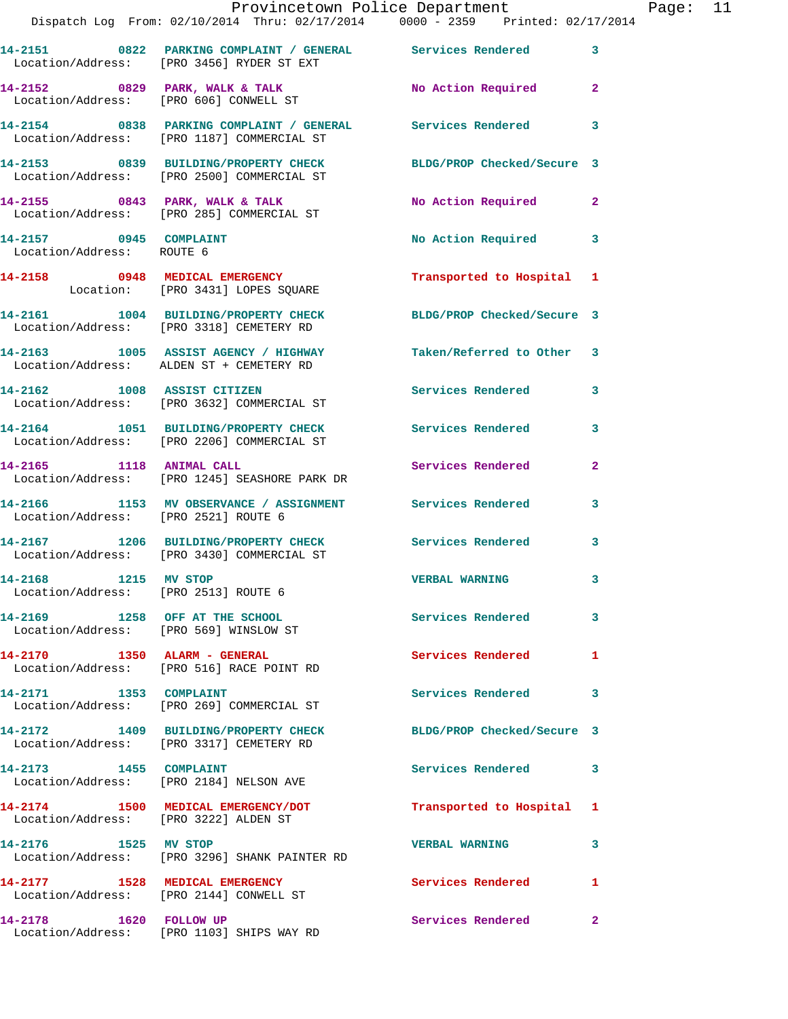|                                                              | Provincetown Police Department The Page: 11<br>Dispatch Log From: 02/10/2014 Thru: 02/17/2014   0000 - 2359   Printed: 02/17/2014 |                            |              |  |
|--------------------------------------------------------------|-----------------------------------------------------------------------------------------------------------------------------------|----------------------------|--------------|--|
|                                                              | 14-2151 0822 PARKING COMPLAINT / GENERAL Services Rendered 3<br>Location/Address: [PRO 3456] RYDER ST EXT                         |                            |              |  |
|                                                              | 14-2152 0829 PARK, WALK & TALK No Action Required 2<br>Location/Address: [PRO 606] CONWELL ST                                     |                            |              |  |
|                                                              | 14-2154 0838 PARKING COMPLAINT / GENERAL Services Rendered 3<br>Location/Address: [PRO 1187] COMMERCIAL ST                        |                            |              |  |
|                                                              | 14-2153 0839 BUILDING/PROPERTY CHECK BLDG/PROP Checked/Secure 3<br>Location/Address: [PRO 2500] COMMERCIAL ST                     |                            |              |  |
|                                                              |                                                                                                                                   |                            |              |  |
| 14-2157 0945 COMPLAINT<br>Location/Address: ROUTE 6          |                                                                                                                                   | No Action Required 3       |              |  |
|                                                              | 14-2158 0948 MEDICAL EMERGENCY Transported to Hospital 1<br>Location: [PRO 3431] LOPES SQUARE                                     |                            |              |  |
|                                                              | 14-2161 1004 BUILDING/PROPERTY CHECK BLDG/PROP Checked/Secure 3<br>Location/Address: [PRO 3318] CEMETERY RD                       |                            |              |  |
|                                                              | 14-2163 1005 ASSIST AGENCY / HIGHWAY Taken/Referred to Other 3<br>Location/Address: ALDEN ST + CEMETERY RD                        |                            |              |  |
|                                                              | 14-2162 1008 ASSIST CITIZEN<br>Location/Address: [PRO 3632] COMMERCIAL ST                                                         | Services Rendered          | 3            |  |
|                                                              | 14-2164 1051 BUILDING/PROPERTY CHECK Services Rendered 3<br>Location/Address: [PRO 2206] COMMERCIAL ST                            |                            |              |  |
|                                                              | 14-2165 1118 ANIMAL CALL<br>Location/Address: [PRO 1245] SEASHORE PARK DR                                                         | Services Rendered          | $\mathbf{2}$ |  |
| Location/Address: [PRO 2521] ROUTE 6                         | 14-2166 1153 MV OBSERVANCE / ASSIGNMENT Services Rendered 3                                                                       |                            |              |  |
|                                                              | 14-2167 1206 BUILDING/PROPERTY CHECK Services Rendered 3<br>Location/Address: [PRO 3430] COMMERCIAL ST                            |                            |              |  |
| 14-2168 1215 MV STOP<br>Location/Address: [PRO 2513] ROUTE 6 |                                                                                                                                   | <b>VERBAL WARNING</b>      |              |  |
| Location/Address: [PRO 569] WINSLOW ST                       | 14-2169 1258 OFF AT THE SCHOOL                                                                                                    | <b>Services Rendered</b>   | 3            |  |
|                                                              | 14-2170 1350 ALARM - GENERAL<br>Location/Address: [PRO 516] RACE POINT RD                                                         | Services Rendered          | 1            |  |
|                                                              | 14-2171 1353 COMPLAINT<br>Location/Address: [PRO 269] COMMERCIAL ST                                                               | Services Rendered          | 3            |  |
|                                                              | 14-2172 1409 BUILDING/PROPERTY CHECK<br>Location/Address: [PRO 3317] CEMETERY RD                                                  | BLDG/PROP Checked/Secure 3 |              |  |
|                                                              | 14-2173 1455 COMPLAINT<br>Location/Address: [PRO 2184] NELSON AVE                                                                 | Services Rendered          | 3            |  |
| Location/Address: [PRO 3222] ALDEN ST                        | 14-2174 1500 MEDICAL EMERGENCY/DOT                                                                                                | Transported to Hospital 1  |              |  |
| 14-2176 1525 MV STOP                                         | Location/Address: [PRO 3296] SHANK PAINTER RD                                                                                     | <b>VERBAL WARNING</b>      | 3            |  |
|                                                              | 14-2177 1528 MEDICAL EMERGENCY<br>Location/Address: [PRO 2144] CONWELL ST                                                         | <b>Services Rendered</b>   | 1            |  |
|                                                              | 14-2178 1620 FOLLOW UP<br>Location/Address: [PRO 1103] SHIPS WAY RD                                                               | Services Rendered          | $\mathbf{2}$ |  |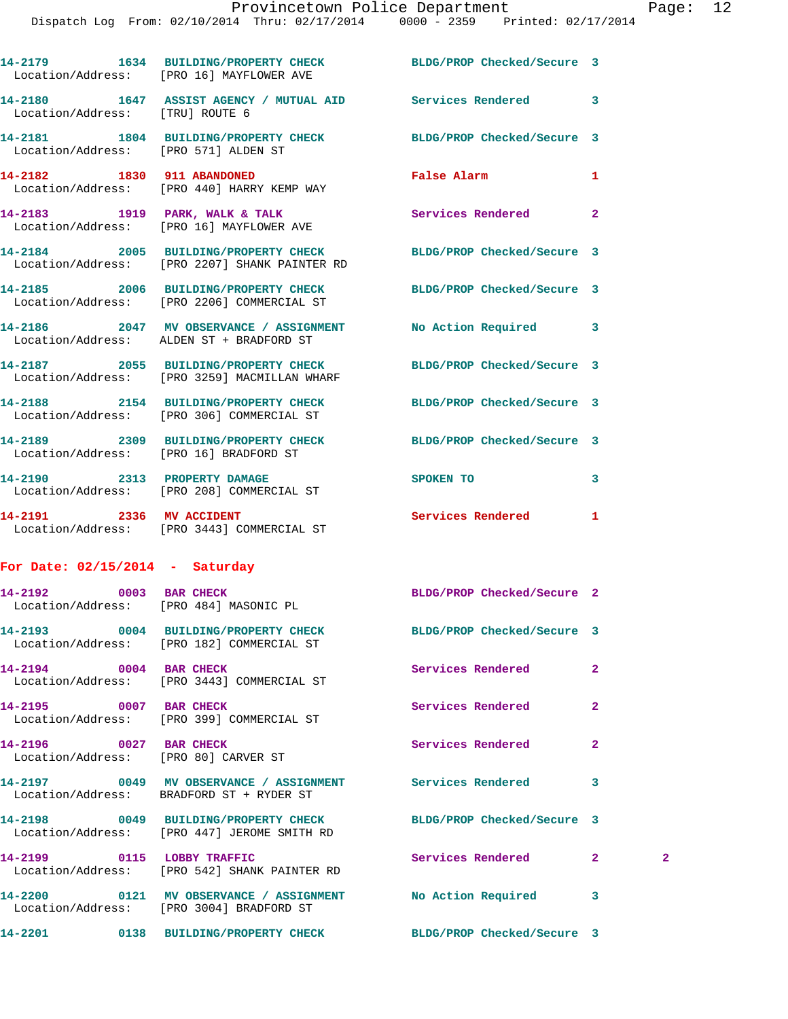|                                      | 14-2179 1634 BUILDING/PROPERTY CHECK BLDG/PROP Checked/Secure 3<br>Location/Address: [PRO 16] MAYFLOWER AVE      |                            |                |              |
|--------------------------------------|------------------------------------------------------------------------------------------------------------------|----------------------------|----------------|--------------|
| Location/Address: [TRU] ROUTE 6      | 14-2180 1647 ASSIST AGENCY / MUTUAL AID Services Rendered                                                        |                            | 3              |              |
| Location/Address: [PRO 571] ALDEN ST | 14-2181 1804 BUILDING/PROPERTY CHECK BLDG/PROP Checked/Secure 3                                                  |                            |                |              |
|                                      | 14-2182 1830 911 ABANDONED<br>Location/Address: [PRO 440] HARRY KEMP WAY                                         | False Alarm                | 1              |              |
|                                      | 14-2183 1919 PARK, WALK & TALK<br>Location/Address: [PRO 16] MAYFLOWER AVE                                       | Services Rendered          | $\overline{2}$ |              |
|                                      | 14-2184 2005 BUILDING/PROPERTY CHECK BLDG/PROP Checked/Secure 3<br>Location/Address: [PRO 2207] SHANK PAINTER RD |                            |                |              |
|                                      | 14-2185 2006 BUILDING/PROPERTY CHECK BLDG/PROP Checked/Secure 3<br>Location/Address: [PRO 2206] COMMERCIAL ST    |                            |                |              |
|                                      | 14-2186 2047 MV OBSERVANCE / ASSIGNMENT No Action Required<br>Location/Address: ALDEN ST + BRADFORD ST           |                            | 3              |              |
|                                      | 14-2187 2055 BUILDING/PROPERTY CHECK<br>Location/Address: [PRO 3259] MACMILLAN WHARF                             | BLDG/PROP Checked/Secure 3 |                |              |
|                                      | 14-2188 2154 BUILDING/PROPERTY CHECK<br>Location/Address: [PRO 306] COMMERCIAL ST                                | BLDG/PROP Checked/Secure 3 |                |              |
|                                      | 14-2189 2309 BUILDING/PROPERTY CHECK BLDG/PROP Checked/Secure 3<br>Location/Address: [PRO 16] BRADFORD ST        |                            |                |              |
|                                      | 14-2190 2313 PROPERTY DAMAGE<br>Location/Address: [PRO 208] COMMERCIAL ST                                        | SPOKEN TO                  | 3              |              |
| 14-2191 2336 MV ACCIDENT             | Location/Address: [PRO 3443] COMMERCIAL ST                                                                       | Services Rendered          | 1              |              |
| For Date: $02/15/2014$ - Saturday    |                                                                                                                  |                            |                |              |
| 14-2192 0003 BAR CHECK               | Location/Address: [PRO 484] MASONIC PL                                                                           | BLDG/PROP Checked/Secure 2 |                |              |
|                                      | 14-2193 0004 BUILDING/PROPERTY CHECK<br>Location/Address: [PRO 182] COMMERCIAL ST                                | BLDG/PROP Checked/Secure 3 |                |              |
| 14-2194 0004 BAR CHECK               | Location/Address: [PRO 3443] COMMERCIAL ST                                                                       | Services Rendered          | $\mathbf{2}$   |              |
| 14-2195 0007 BAR CHECK               | Location/Address: [PRO 399] COMMERCIAL ST                                                                        | Services Rendered          | $\mathbf{2}$   |              |
| 14-2196 0027 BAR CHECK               | Location/Address: [PRO 80] CARVER ST                                                                             | Services Rendered          | $\overline{a}$ |              |
|                                      | 14-2197 6049 MV OBSERVANCE / ASSIGNMENT Services Rendered<br>Location/Address: BRADFORD ST + RYDER ST            |                            | 3              |              |
|                                      | 14-2198 0049 BUILDING/PROPERTY CHECK BLDG/PROP Checked/Secure 3<br>Location/Address: [PRO 447] JEROME SMITH RD   |                            |                |              |
|                                      | 14-2199 0115 LOBBY TRAFFIC<br>Location/Address: [PRO 542] SHANK PAINTER RD                                       | Services Rendered          | $\mathbf{2}$   | $\mathbf{2}$ |
|                                      | 14-2200 0121 MV OBSERVANCE / ASSIGNMENT No Action Required<br>Location/Address: [PRO 3004] BRADFORD ST           |                            | 3              |              |
|                                      | 14-2201 0138 BUILDING/PROPERTY CHECK BLDG/PROP Checked/Secure 3                                                  |                            |                |              |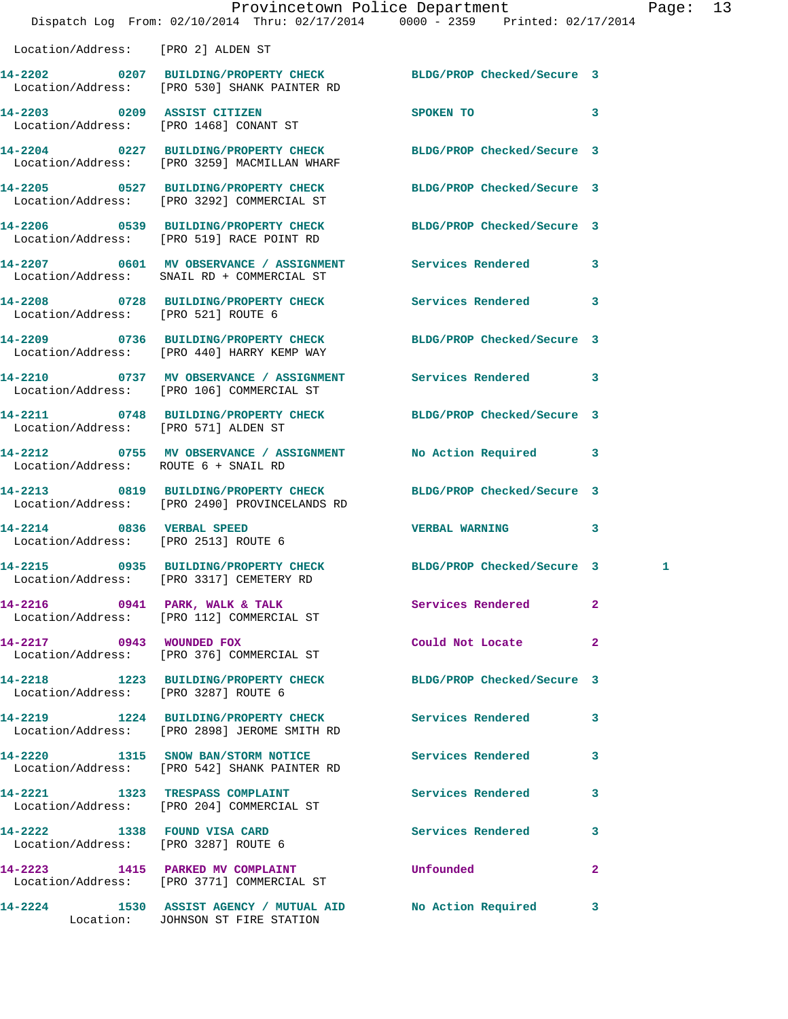|                                                                   | Dispatch Log From: 02/10/2014 Thru: 02/17/2014 0000 - 2359 Printed: 02/17/2014                                  | Provincetown Police Department |              | Page: 13 |  |
|-------------------------------------------------------------------|-----------------------------------------------------------------------------------------------------------------|--------------------------------|--------------|----------|--|
| Location/Address: [PRO 2] ALDEN ST                                |                                                                                                                 |                                |              |          |  |
|                                                                   | 14-2202 0207 BUILDING/PROPERTY CHECK BLDG/PROP Checked/Secure 3<br>Location/Address: [PRO 530] SHANK PAINTER RD |                                |              |          |  |
| 14-2203 0209 ASSIST CITIZEN                                       | Location/Address: [PRO 1468] CONANT ST                                                                          | SPOKEN TO 3                    |              |          |  |
|                                                                   | 14-2204 0227 BUILDING/PROPERTY CHECK BLDG/PROP Checked/Secure 3<br>Location/Address: [PRO 3259] MACMILLAN WHARF |                                |              |          |  |
|                                                                   | 14-2205 0527 BUILDING/PROPERTY CHECK BLDG/PROP Checked/Secure 3<br>Location/Address: [PRO 3292] COMMERCIAL ST   |                                |              |          |  |
|                                                                   | 14-2206 0539 BUILDING/PROPERTY CHECK BLDG/PROP Checked/Secure 3<br>Location/Address: [PRO 519] RACE POINT RD    |                                |              |          |  |
|                                                                   | 14-2207 0601 MV OBSERVANCE / ASSIGNMENT Services Rendered 3<br>Location/Address: SNAIL RD + COMMERCIAL ST       |                                |              |          |  |
| Location/Address: [PRO 521] ROUTE 6                               | 14-2208 0728 BUILDING/PROPERTY CHECK Services Rendered 3                                                        |                                |              |          |  |
|                                                                   | 14-2209 0736 BUILDING/PROPERTY CHECK<br>Location/Address: [PRO 440] HARRY KEMP WAY                              | BLDG/PROP Checked/Secure 3     |              |          |  |
|                                                                   | 14-2210 0737 MV OBSERVANCE / ASSIGNMENT Services Rendered 3<br>Location/Address: [PRO 106] COMMERCIAL ST        |                                |              |          |  |
| Location/Address: [PRO 571] ALDEN ST                              | 14-2211 0748 BUILDING/PROPERTY CHECK BLDG/PROP Checked/Secure 3                                                 |                                |              |          |  |
| Location/Address: ROUTE 6 + SNAIL RD                              | 14-2212 0755 MV OBSERVANCE / ASSIGNMENT No Action Required 3                                                    |                                |              |          |  |
|                                                                   | 14-2213 0819 BUILDING/PROPERTY CHECK<br>Location/Address: [PRO 2490] PROVINCELANDS RD                           | BLDG/PROP Checked/Secure 3     |              |          |  |
| 14-2214 0836 VERBAL SPEED<br>Location/Address: [PRO 2513] ROUTE 6 |                                                                                                                 | VERBAL WARNING 3               |              |          |  |
|                                                                   | 14-2215 0935 BUILDING/PROPERTY CHECK BLDG/PROP Checked/Secure 3<br>Location/Address: [PRO 3317] CEMETERY RD     |                                |              | 1        |  |
|                                                                   | 14-2216 0941 PARK, WALK & TALK<br>Location/Address: [PRO 112] COMMERCIAL ST                                     | Services Rendered              | $\mathbf{2}$ |          |  |
|                                                                   | 14-2217 0943 WOUNDED FOX<br>Location/Address: [PRO 376] COMMERCIAL ST                                           | Could Not Locate               | $\mathbf{2}$ |          |  |
| Location/Address: [PRO 3287] ROUTE 6                              | 14-2218 1223 BUILDING/PROPERTY CHECK BLDG/PROP Checked/Secure 3                                                 |                                |              |          |  |
|                                                                   | 14-2219 1224 BUILDING/PROPERTY CHECK Services Rendered 3<br>Location/Address: [PRO 2898] JEROME SMITH RD        |                                |              |          |  |
|                                                                   | 14-2220 1315 SNOW BAN/STORM NOTICE Services Rendered 3<br>Location/Address: [PRO 542] SHANK PAINTER RD          |                                |              |          |  |
|                                                                   | 14-2221 1323 TRESPASS COMPLAINT 1999 Services Rendered 3<br>Location/Address: [PRO 204] COMMERCIAL ST           |                                |              |          |  |
|                                                                   | 14-2222 1338 FOUND VISA CARD<br>Location/Address: [PRO 3287] ROUTE 6                                            | Services Rendered 3            |              |          |  |
|                                                                   | 14-2223 1415 PARKED MV COMPLAINT <b>14-2223</b> Unfounded<br>Location/Address: [PRO 3771] COMMERCIAL ST         |                                | $\mathbf{2}$ |          |  |
|                                                                   | 14-2224 1530 ASSIST AGENCY / MUTUAL AID No Action Required 3<br>Location: JOHNSON ST FIRE STATION               |                                |              |          |  |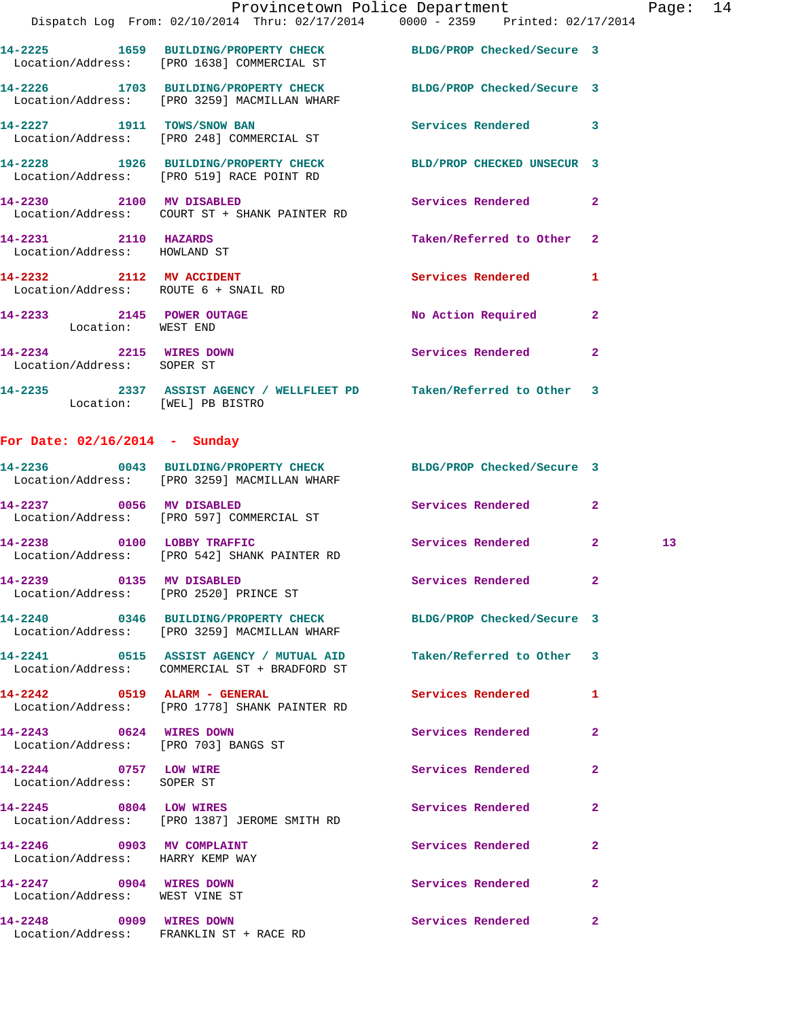|                                                                  | Provincetown Police Department<br>Dispatch Log From: 02/10/2014 Thru: 02/17/2014 0000 - 2359 Printed: 02/17/2014 |                            |                | Page: 14 |  |
|------------------------------------------------------------------|------------------------------------------------------------------------------------------------------------------|----------------------------|----------------|----------|--|
|                                                                  | 14-2225 1659 BUILDING/PROPERTY CHECK BLDG/PROP Checked/Secure 3<br>Location/Address: [PRO 1638] COMMERCIAL ST    |                            |                |          |  |
|                                                                  | 14-2226 1703 BUILDING/PROPERTY CHECK BLDG/PROP Checked/Secure 3<br>Location/Address: [PRO 3259] MACMILLAN WHARF  |                            |                |          |  |
| 14-2227 1911 TOWS/SNOW BAN                                       | Location/Address: [PRO 248] COMMERCIAL ST                                                                        | Services Rendered 3        |                |          |  |
|                                                                  | 14-2228 1926 BUILDING/PROPERTY CHECK BLD/PROP CHECKED UNSECUR 3<br>Location/Address: [PRO 519] RACE POINT RD     |                            |                |          |  |
| 14-2230 2100 MV DISABLED                                         | Location/Address: COURT ST + SHANK PAINTER RD                                                                    | Services Rendered 2        |                |          |  |
| 14-2231 2110 HAZARDS<br>Location/Address: HOWLAND ST             |                                                                                                                  | Taken/Referred to Other 2  |                |          |  |
| 14-2232 2112 MV ACCIDENT<br>Location/Address: ROUTE 6 + SNAIL RD |                                                                                                                  | <b>Services Rendered</b>   | $\mathbf{1}$   |          |  |
| 14-2233 2145 POWER OUTAGE<br>Location: WEST END                  |                                                                                                                  | No Action Required 2       |                |          |  |
| 14-2234 2215 WIRES DOWN<br>Location/Address: SOPER ST            |                                                                                                                  | Services Rendered          | $\mathbf{2}$   |          |  |
| Location: [WEL] PB BISTRO                                        | 14-2235 2337 ASSIST AGENCY / WELLFLEET PD Taken/Referred to Other 3                                              |                            |                |          |  |
| For Date: $02/16/2014$ - Sunday                                  |                                                                                                                  |                            |                |          |  |
|                                                                  | 14-2236 0043 BUILDING/PROPERTY CHECK BLDG/PROP Checked/Secure 3<br>Location/Address: [PRO 3259] MACMILLAN WHARF  |                            |                |          |  |
|                                                                  | 14-2237 0056 MV DISABLED<br>Location/Address: [PRO 597] COMMERCIAL ST                                            | Services Rendered          | $\mathbf{2}$   |          |  |
|                                                                  | 14-2238 0100 LOBBY TRAFFIC<br>Location/Address: [PRO 542] SHANK PAINTER RD                                       | Services Rendered 2        |                | 13       |  |
|                                                                  | 14-2239 0135 MV DISABLED<br>Location/Address: [PRO 2520] PRINCE ST                                               | Services Rendered          | $\mathbf{2}$   |          |  |
|                                                                  | 14-2240 0346 BUILDING/PROPERTY CHECK<br>Location/Address: [PRO 3259] MACMILLAN WHARF                             | BLDG/PROP Checked/Secure 3 |                |          |  |
|                                                                  | 14-2241 0515 ASSIST AGENCY / MUTUAL AID<br>Location/Address: COMMERCIAL ST + BRADFORD ST                         | Taken/Referred to Other 3  |                |          |  |
|                                                                  | 14-2242 0519 ALARM - GENERAL<br>Location/Address: [PRO 1778] SHANK PAINTER RD                                    | <b>Services Rendered</b>   | $\mathbf{1}$   |          |  |
| 14-2243 0624 WIRES DOWN<br>Location/Address: [PRO 703] BANGS ST  |                                                                                                                  | Services Rendered          | 2              |          |  |
| 14-2244 0757 LOW WIRE<br>Location/Address: SOPER ST              |                                                                                                                  | Services Rendered          | $\overline{2}$ |          |  |
|                                                                  | 14-2245 0804 LOW WIRES<br>Location/Address: [PRO 1387] JEROME SMITH RD                                           | Services Rendered          | $\overline{2}$ |          |  |
| 14-2246 0903 MV COMPLAINT<br>Location/Address: HARRY KEMP WAY    |                                                                                                                  | Services Rendered          | $\overline{2}$ |          |  |
| 14-2247 0904 WIRES DOWN<br>Location/Address: WEST VINE ST        |                                                                                                                  | <b>Services Rendered</b>   | $\mathbf{2}$   |          |  |
| 14-2248<br>0909 WIRES DOWN                                       |                                                                                                                  | Services Rendered          | $\mathbf{2}$   |          |  |

Location/Address: FRANKLIN ST + RACE RD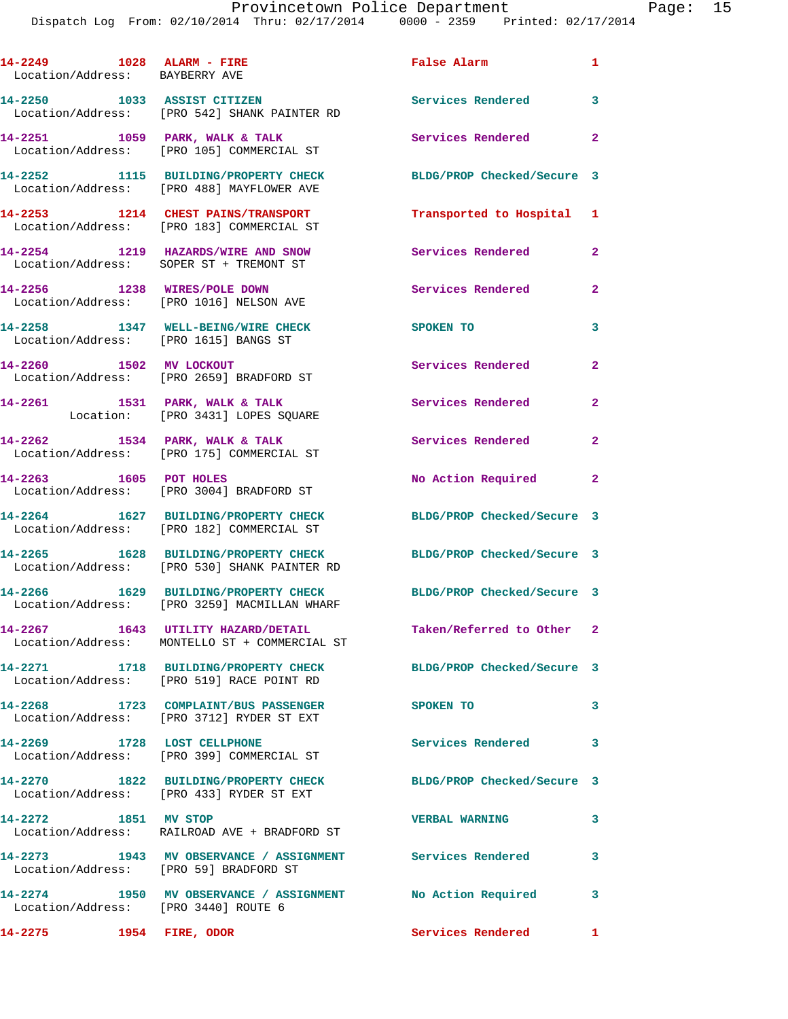| 14-2249 1028 ALARM - FIRE<br>Location/Address: BAYBERRY AVE |                                                                                                                  | False Alarm                | $\mathbf{1}$               |
|-------------------------------------------------------------|------------------------------------------------------------------------------------------------------------------|----------------------------|----------------------------|
| 14-2250 1033 ASSIST CITIZEN                                 | Location/Address: [PRO 542] SHANK PAINTER RD                                                                     | <b>Services Rendered</b>   | $\overline{\phantom{a}}$ 3 |
|                                                             | 14-2251 1059 PARK, WALK & TALK<br>Location/Address: [PRO 105] COMMERCIAL ST                                      | Services Rendered          | $\overline{\phantom{0}}$ 2 |
|                                                             | 14-2252 1115 BUILDING/PROPERTY CHECK<br>Location/Address: [PRO 488] MAYFLOWER AVE                                | BLDG/PROP Checked/Secure 3 |                            |
|                                                             | 14-2253 1214 CHEST PAINS/TRANSPORT<br>Location/Address: [PRO 183] COMMERCIAL ST                                  | Transported to Hospital 1  |                            |
|                                                             | 14-2254 1219 HAZARDS/WIRE AND SNOW<br>Location/Address: SOPER ST + TREMONT ST                                    | Services Rendered 2        |                            |
|                                                             | 14-2256 1238 WIRES/POLE DOWN<br>Location/Address: [PRO 1016] NELSON AVE                                          | <b>Services Rendered</b>   | $\mathbf{2}$               |
| Location/Address: [PRO 1615] BANGS ST                       | 14-2258 1347 WELL-BEING/WIRE CHECK                                                                               | SPOKEN TO                  | 3                          |
|                                                             | 14-2260 1502 MV LOCKOUT<br>Location/Address: [PRO 2659] BRADFORD ST                                              | Services Rendered          | $\mathbf{2}$               |
|                                                             | 14-2261 1531 PARK, WALK & TALK<br>Location: [PRO 3431] LOPES SQUARE                                              | Services Rendered          | $\overline{2}$             |
|                                                             | 14-2262 1534 PARK, WALK & TALK<br>Location/Address: [PRO 175] COMMERCIAL ST                                      | Services Rendered          | $\overline{a}$             |
| 14-2263 1605 POT HOLES                                      | Location/Address: [PRO 3004] BRADFORD ST                                                                         | No Action Required         | $\overline{2}$             |
|                                                             | 14-2264 1627 BUILDING/PROPERTY CHECK                                                                             | BLDG/PROP Checked/Secure 3 |                            |
|                                                             | Location/Address: [PRO 182] COMMERCIAL ST<br>14-2265 1628 BUILDING/PROPERTY CHECK                                | BLDG/PROP Checked/Secure 3 |                            |
|                                                             | Location/Address: [PRO 530] SHANK PAINTER RD<br>14-2266 1629 BUILDING/PROPERTY CHECK                             | BLDG/PROP Checked/Secure 3 |                            |
|                                                             | Location/Address: [PRO 3259] MACMILLAN WHARF<br>14-2267 1643 UTILITY HAZARD/DETAIL                               | Taken/Referred to Other 2  |                            |
|                                                             | Location/Address: MONTELLO ST + COMMERCIAL ST<br>14-2271 1718 BUILDING/PROPERTY CHECK BLDG/PROP Checked/Secure 3 |                            |                            |
|                                                             | Location/Address: [PRO 519] RACE POINT RD<br>14-2268 1723 COMPLAINT/BUS PASSENGER                                | SPOKEN TO                  | $\mathbf{3}$               |
|                                                             | Location/Address: [PRO 3712] RYDER ST EXT                                                                        | Services Rendered          | 3                          |
|                                                             | 14-2269 1728 LOST CELLPHONE<br>Location/Address: [PRO 399] COMMERCIAL ST<br>14-2270 1822 BUILDING/PROPERTY CHECK | BLDG/PROP Checked/Secure 3 |                            |
|                                                             | Location/Address: [PRO 433] RYDER ST EXT                                                                         |                            |                            |
| 14-2272 1851 MV STOP                                        | Location/Address: RAILROAD AVE + BRADFORD ST                                                                     | <b>VERBAL WARNING</b>      | 3                          |
| Location/Address: [PRO 59] BRADFORD ST                      | 14-2273 1943 MV OBSERVANCE / ASSIGNMENT Services Rendered                                                        |                            | $\overline{\mathbf{3}}$    |
| Location/Address: [PRO 3440] ROUTE 6                        | 14-2274 1950 MV OBSERVANCE / ASSIGNMENT No Action Required                                                       |                            | 3                          |
| 14-2275 1954 FIRE, ODOR                                     |                                                                                                                  | Services Rendered          | $\mathbf{1}$               |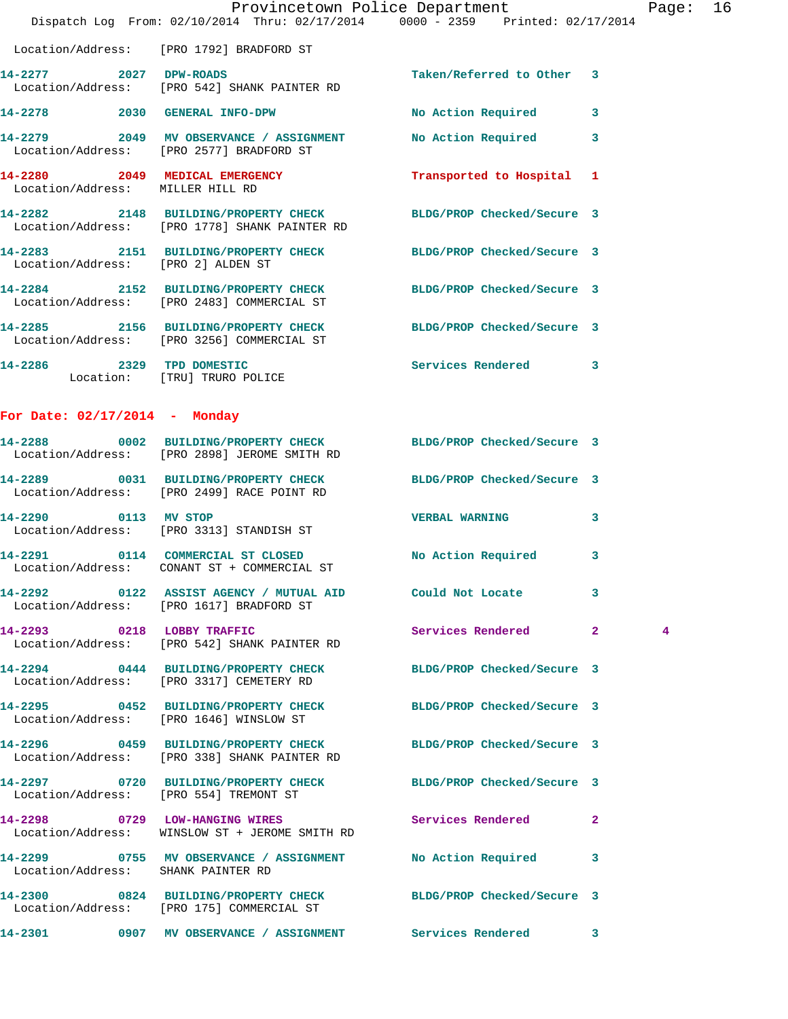|                                    | Dispatch Log From: 02/10/2014 Thru: 02/17/2014 0000 - 2359 Printed: 02/17/2014                                   | Provincetown Police Department |              | Page: 16 |  |
|------------------------------------|------------------------------------------------------------------------------------------------------------------|--------------------------------|--------------|----------|--|
|                                    | Location/Address: [PRO 1792] BRADFORD ST                                                                         |                                |              |          |  |
| 14-2277 2027 DPW-ROADS             | Location/Address: [PRO 542] SHANK PAINTER RD                                                                     | Taken/Referred to Other 3      |              |          |  |
|                                    | 14-2278 2030 GENERAL INFO-DPW                                                                                    | No Action Required 3           |              |          |  |
|                                    | 14-2279 2049 MV OBSERVANCE / ASSIGNMENT No Action Required 3<br>Location/Address: [PRO 2577] BRADFORD ST         |                                |              |          |  |
| Location/Address: MILLER HILL RD   | 14-2280 2049 MEDICAL EMERGENCY                                                                                   | Transported to Hospital 1      |              |          |  |
|                                    | 14-2282 2148 BUILDING/PROPERTY CHECK BLDG/PROP Checked/Secure 3<br>Location/Address: [PRO 1778] SHANK PAINTER RD |                                |              |          |  |
| Location/Address: [PRO 2] ALDEN ST | 14-2283 2151 BUILDING/PROPERTY CHECK BLDG/PROP Checked/Secure 3                                                  |                                |              |          |  |
|                                    | 14-2284 2152 BUILDING/PROPERTY CHECK BLDG/PROP Checked/Secure 3<br>Location/Address: [PRO 2483] COMMERCIAL ST    |                                |              |          |  |
|                                    | 14-2285 2156 BUILDING/PROPERTY CHECK BLDG/PROP Checked/Secure 3<br>Location/Address: [PRO 3256] COMMERCIAL ST    |                                |              |          |  |
|                                    | 14-2286 2329 TPD DOMESTIC<br>Location: [TRU] TRURO POLICE                                                        | Services Rendered 3            |              |          |  |
| For Date: $02/17/2014$ - Monday    |                                                                                                                  |                                |              |          |  |
|                                    | 14-2288 0002 BUILDING/PROPERTY CHECK BLDG/PROP Checked/Secure 3<br>Location/Address: [PRO 2898] JEROME SMITH RD  |                                |              |          |  |
|                                    | 14-2289 0031 BUILDING/PROPERTY CHECK BLDG/PROP Checked/Secure 3<br>Location/Address: [PRO 2499] RACE POINT RD    |                                |              |          |  |
| 14-2290 0113 MV STOP               | Location/Address: [PRO 3313] STANDISH ST                                                                         | <b>VERBAL WARNING</b>          | $\mathbf{3}$ |          |  |
|                                    | 14-2291 0114 COMMERCIAL ST CLOSED No Action Required 3<br>Location/Address: CONANT ST + COMMERCIAL ST            |                                |              |          |  |
|                                    | Location/Address: [PRO 1617] BRADFORD ST                                                                         |                                |              |          |  |
|                                    | 14-2293 0218 LOBBY TRAFFIC<br>Location/Address: [PRO 542] SHANK PAINTER RD                                       | Services Rendered 2            |              | 4        |  |
|                                    | 14-2294 0444 BUILDING/PROPERTY CHECK BLDG/PROP Checked/Secure 3<br>Location/Address: [PRO 3317] CEMETERY RD      |                                |              |          |  |
|                                    | 14-2295 0452 BUILDING/PROPERTY CHECK BLDG/PROP Checked/Secure 3<br>Location/Address: [PRO 1646] WINSLOW ST       |                                |              |          |  |
|                                    | 14-2296 0459 BUILDING/PROPERTY CHECK BLDG/PROP Checked/Secure 3<br>Location/Address: [PRO 338] SHANK PAINTER RD  |                                |              |          |  |
|                                    | 14-2297 0720 BUILDING/PROPERTY CHECK BLDG/PROP Checked/Secure 3<br>Location/Address: [PRO 554] TREMONT ST        |                                |              |          |  |
|                                    | 14-2298 		 0729 LOW-HANGING WIRES Services Rendered 2<br>Location/Address: WINSLOW ST + JEROME SMITH RD          |                                |              |          |  |
| Location/Address: SHANK PAINTER RD |                                                                                                                  |                                |              |          |  |
|                                    | 14-2300 0824 BUILDING/PROPERTY CHECK BLDG/PROP Checked/Secure 3<br>Location/Address: [PRO 175] COMMERCIAL ST     |                                |              |          |  |
| 14-2301                            | 0907 MV OBSERVANCE / ASSIGNMENT Services Rendered 3                                                              |                                |              |          |  |